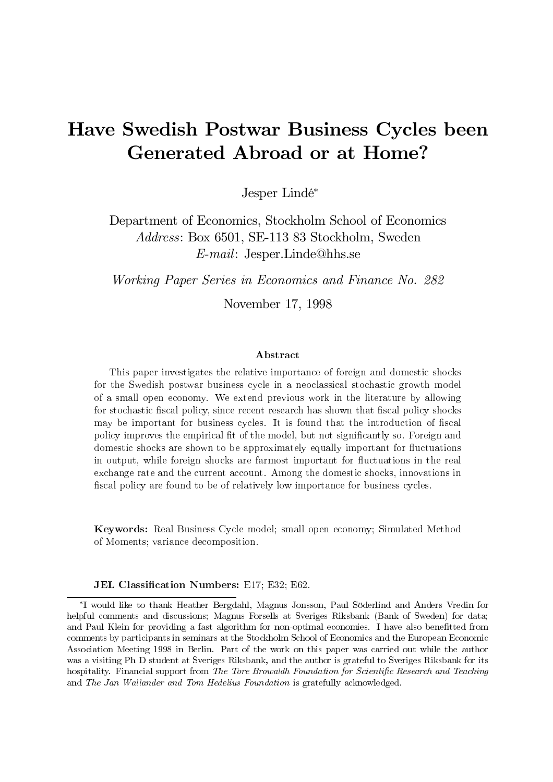# Have Swedish Postwar Business Cycles been **Generated Abroad or at Home?**

Jesper Lindé\*

Department of Economics, Stockholm School of Economics *Address:* Box 6501, SE-113 83 Stockholm, Sweden  $E$ -mail: Jesper.Linde@hhs.se

Working Paper Series in Economics and Finance No. 282

November 17, 1998

### $A$ bstract

This paper investigates the relative importance of foreign and domestic shocks for the Swedish postwar business cycle in a neoclassical stochastic growth model of a small open economy. We extend previous work in the literature by allowing for stochastic fiscal policy, since recent research has shown that fiscal policy shocks may be important for business cycles. It is found that the introduction of fiscal policy improves the empirical fit of the model, but not significantly so. Foreign and domestic shocks are shown to be approximately equally important for fluctuations in output, while foreign shocks are farmost important for fluctuations in the real exchange rate and the current account. Among the domestic shocks, innovations in fiscal policy are found to be of relatively low importance for business cycles.

Keywords: Real Business Cycle model; small open economy; Simulated Method of Moments; variance decomposition.

JEL Classification Numbers: E17; E32; E62.

<sup>\*</sup>I would like to thank Heather Bergdahl, Magnus Jonsson, Paul Söderlind and Anders Vredin for helpful comments and discussions; Magnus Forsells at Sveriges Riksbank (Bank of Sweden) for data; and Paul Klein for providing a fast algorithm for non-optimal economies. I have also benefitted from comments by participants in seminars at the Stockholm School of Economics and the European Economic Association Meeting 1998 in Berlin. Part of the work on this paper was carried out while the author was a visiting Ph D student at Sveriges Riksbank, and the author is grateful to Sveriges Riksbank for its hospitality. Financial support from The Tore Browaldh Foundation for Scientific Research and Teaching and The Jan Wallander and Tom Hedelius Foundation is gratefully acknowledged.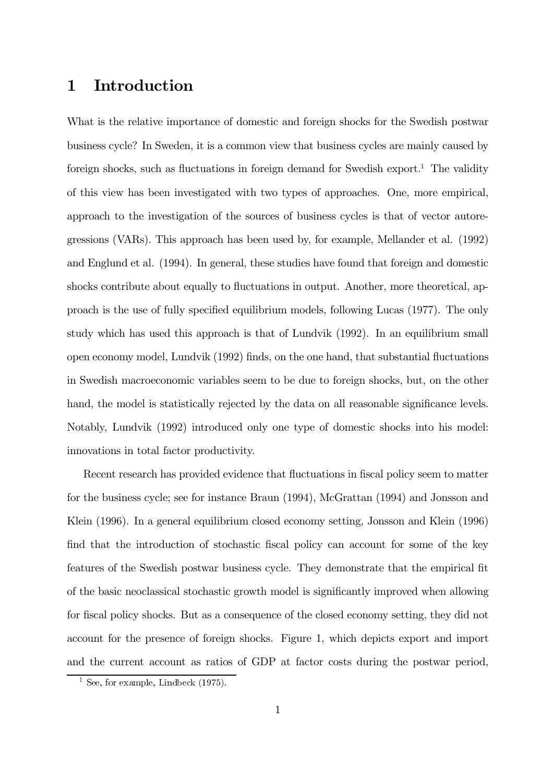#### Introduction  $\mathbf 1$

What is the relative importance of domestic and foreign shocks for the Swedish postwar business cycle? In Sweden, it is a common view that business cycles are mainly caused by foreign shocks, such as fluctuations in foreign demand for Swedish export.<sup>1</sup> The validity of this view has been investigated with two types of approaches. One, more empirical, approach to the investigation of the sources of business cycles is that of vector autoregressions (VARs). This approach has been used by, for example, Mellander et al. (1992) and Englund et al. (1994). In general, these studies have found that foreign and domestic shocks contribute about equally to fluctuations in output. Another, more theoretical, approach is the use of fully specified equilibrium models, following Lucas (1977). The only study which has used this approach is that of Lundvik (1992). In an equilibrium small open economy model, Lundvik (1992) finds, on the one hand, that substantial fluctuations in Swedish macroeconomic variables seem to be due to foreign shocks, but, on the other hand, the model is statistically rejected by the data on all reasonable significance levels. Notably, Lundvik (1992) introduced only one type of domestic shocks into his model: innovations in total factor productivity.

Recent research has provided evidence that fluctuations in fiscal policy seem to matter for the business cycle; see for instance Braun (1994), McGrattan (1994) and Jonsson and Klein (1996). In a general equilibrium closed economy setting, Jonsson and Klein (1996) find that the introduction of stochastic fiscal policy can account for some of the key features of the Swedish postwar business cycle. They demonstrate that the empirical fit of the basic neoclassical stochastic growth model is significantly improved when allowing for fiscal policy shocks. But as a consequence of the closed economy setting, they did not account for the presence of foreign shocks. Figure 1, which depicts export and import and the current account as ratios of GDP at factor costs during the postwar period,

<sup>&</sup>lt;sup>1</sup> See, for example, Lindbeck  $(1975)$ .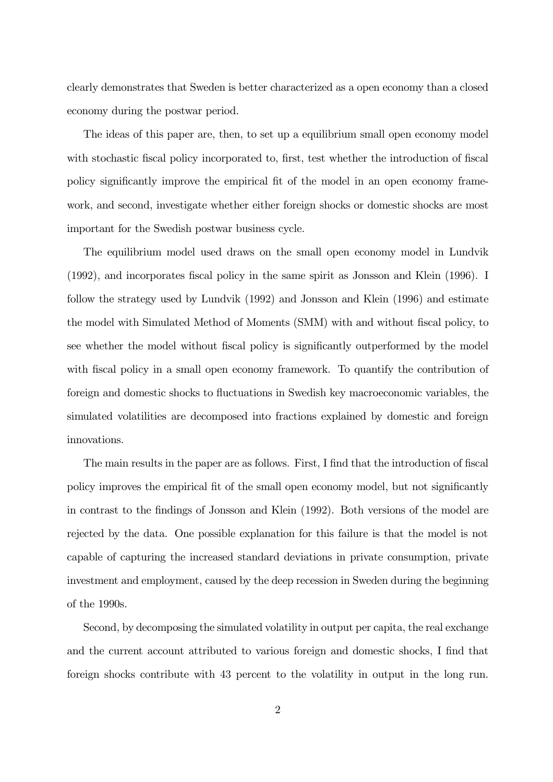clearly demonstrates that Sweden is better characterized as a open economy than a closed economy during the postwar period.

The ideas of this paper are, then, to set up a equilibrium small open economy model with stochastic fiscal policy incorporated to, first, test whether the introduction of fiscal policy significantly improve the empirical fit of the model in an open economy framework, and second, investigate whether either foreign shocks or domestic shocks are most important for the Swedish postwar business cycle.

The equilibrium model used draws on the small open economy model in Lundvik  $(1992)$ , and incorporates fiscal policy in the same spirit as Jonsson and Klein  $(1996)$ . I follow the strategy used by Lundvik  $(1992)$  and Jonsson and Klein  $(1996)$  and estimate the model with Simulated Method of Moments (SMM) with and without fiscal policy, to see whether the model without fiscal policy is significantly outperformed by the model with fiscal policy in a small open economy framework. To quantify the contribution of foreign and domestic shocks to fluctuations in Swedish key macroeconomic variables, the simulated volatilities are decomposed into fractions explained by domestic and foreign innovations.

The main results in the paper are as follows. First, I find that the introduction of fiscal policy improves the empirical fit of the small open economy model, but not significantly in contrast to the findings of Jonsson and Klein  $(1992)$ . Both versions of the model are rejected by the data. One possible explanation for this failure is that the model is not capable of capturing the increased standard deviations in private consumption, private investment and employment, caused by the deep recession in Sweden during the beginning of the  $1990s$ .

Second, by decomposing the simulated volatility in output per capita, the real exchange and the current account attributed to various foreign and domestic shocks, I find that foreign shocks contribute with 43 percent to the volatility in output in the long run.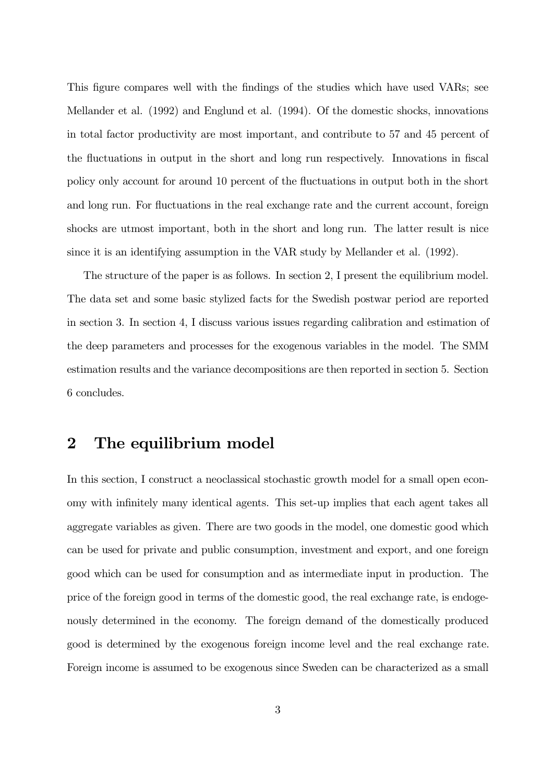This figure compares well with the findings of the studies which have used VARs; see Mellander et al.  $(1992)$  and Englund et al.  $(1994)$ . Of the domestic shocks, innovations in total factor productivity are most important, and contribute to 57 and 45 percent of the fluctuations in output in the short and long run respectively. Innovations in fiscal policy only account for around 10 percent of the fluctuations in output both in the short and long run. For fluctuations in the real exchange rate and the current account, foreign shocks are utmost important, both in the short and long run. The latter result is nice since it is an identifying assumption in the VAR study by Mellander et al.  $(1992)$ .

The structure of the paper is as follows. In section 2, I present the equilibrium model. The data set and some basic stylized facts for the Swedish postwar period are reported in section 3. In section 4, I discuss various issues regarding calibration and estimation of the deep parameters and processes for the exogenous variables in the model. The SMM estimation results and the variance decompositions are then reported in section 5. Section  $6$  concludes.

# 2 The equilibrium model

In this section, I construct a neoclassical stochastic growth model for a small open economy with infinitely many identical agents. This set-up implies that each agent takes all aggregate variables as given. There are two goods in the model, one domestic good which can be used for private and public consumption, investment and export, and one foreign good which can be used for consumption and as intermediate input in production. The price of the foreign good in terms of the domestic good, the real exchange rate, is endogenously determined in the economy. The foreign demand of the domestically produced good is determined by the exogenous foreign income level and the real exchange rate. Foreign income is assumed to be exogenous since Sweden can be characterized as a small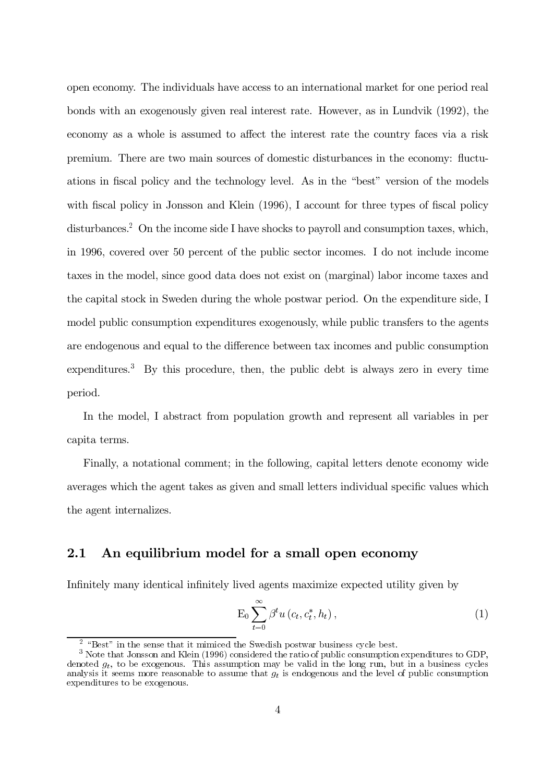open economy. The individuals have access to an international market for one period real bonds with an exogenously given real interest rate. However, as in Lundvik (1992), the economy as a whole is assumed to affect the interest rate the country faces via a risk premium. There are two main sources of domestic disturbances in the economy: fluctuations in fiscal policy and the technology level. As in the "best" version of the models with fiscal policy in Jonsson and Klein (1996), I account for three types of fiscal policy disturbances.<sup>2</sup> On the income side I have shocks to payroll and consumption taxes, which, in 1996, covered over 50 percent of the public sector incomes. I do not include income taxes in the model, since good data does not exist on (marginal) labor income taxes and the capital stock in Sweden during the whole postwar period. On the expenditure side, I model public consumption expenditures exogenously, while public transfers to the agents are endogenous and equal to the difference between tax incomes and public consumption expenditures.<sup>3</sup> By this procedure, then, the public debt is always zero in every time period.

In the model, I abstract from population growth and represent all variables in per capita terms.

Finally, a notational comment: in the following, capital letters denote economy wide averages which the agent takes as given and small letters individual specific values which the agent internalizes.

#### $2.1$ An equilibrium model for a small open economy

Infinitely many identical infinitely lived agents maximize expected utility given by

$$
\mathrm{E}_0 \sum_{t=0}^{\infty} \beta^t u\left(c_t, c_t^*, h_t\right),\tag{1}
$$

 $2$  "Best" in the sense that it mimiced the Swedish postwar business cycle best.

 $3$  Note that Jonsson and Klein (1996) considered the ratio of public consumption expenditures to GDP. denoted  $q_t$ , to be exogenous. This assumption may be valid in the long run, but in a business cycles analysis it seems more reasonable to assume that  $q_t$  is endogenous and the level of public consumption expenditures to be exogenous.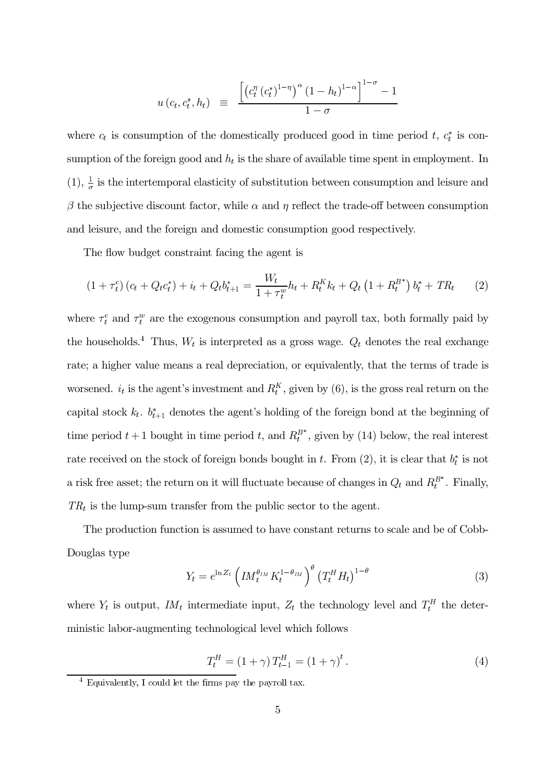$$
u(c_t, c_t^*, h_t) \equiv \frac{\left[ \left( c_t^{\eta} (c_t^*)^{1-\eta} \right)^{\alpha} (1-h_t)^{1-\alpha} \right]^{1-\sigma} - 1}{1-\sigma}
$$

where  $c_t$  is consumption of the domestically produced good in time period t,  $c_t^*$  is consumption of the foreign good and  $h_t$  is the share of available time spent in employment. In (1),  $\frac{1}{q}$  is the intertemporal elasticity of substitution between consumption and leisure and  $\beta$  the subjective discount factor, while  $\alpha$  and  $\eta$  reflect the trade-off between consumption and leisure, and the foreign and domestic consumption good respectively.

The flow budget constraint facing the agent is

$$
(1 + \tau_t^c) (c_t + Q_t c_t^*) + i_t + Q_t b_{t+1}^* = \frac{W_t}{1 + \tau_t^w} h_t + R_t^K k_t + Q_t (1 + R_t^{B^*}) b_t^* + TR_t \tag{2}
$$

where  $\tau_t^c$  and  $\tau_t^w$  are the exogenous consumption and payroll tax, both formally paid by the households.<sup>4</sup> Thus,  $W_t$  is interpreted as a gross wage.  $Q_t$  denotes the real exchange rate; a higher value means a real depreciation, or equivalently, that the terms of trade is worsened.  $i_t$  is the agent's investment and  $R_t^K$ , given by (6), is the gross real return on the capital stock  $k_t$ .  $b_{t+1}^*$  denotes the agent's holding of the foreign bond at the beginning of time period  $t + 1$  bought in time period t, and  $R_t^{B^*}$ , given by (14) below, the real interest rate received on the stock of foreign bonds bought in t. From (2), it is clear that  $b_t^*$  is not a risk free asset; the return on it will fluctuate because of changes in  $Q_t$  and  $R_t^{B^*}$ . Finally,  $TR_t$  is the lump-sum transfer from the public sector to the agent.

The production function is assumed to have constant returns to scale and be of Cobb-Douglas type

$$
Y_t = e^{\ln Z_t} \left( I M_t^{\theta_{IM}} K_t^{1-\theta_{IM}} \right)^{\theta} \left( T_t^H H_t \right)^{1-\theta} \tag{3}
$$

where  $Y_t$  is output,  $I M_t$  intermediate input,  $Z_t$  the technology level and  $T_t^H$  the deterministic labor-augmenting technological level which follows

$$
T_t^H = (1 + \gamma) T_{t-1}^H = (1 + \gamma)^t.
$$
 (4)

 $4$  Equivalently, I could let the firms pay the payroll tax.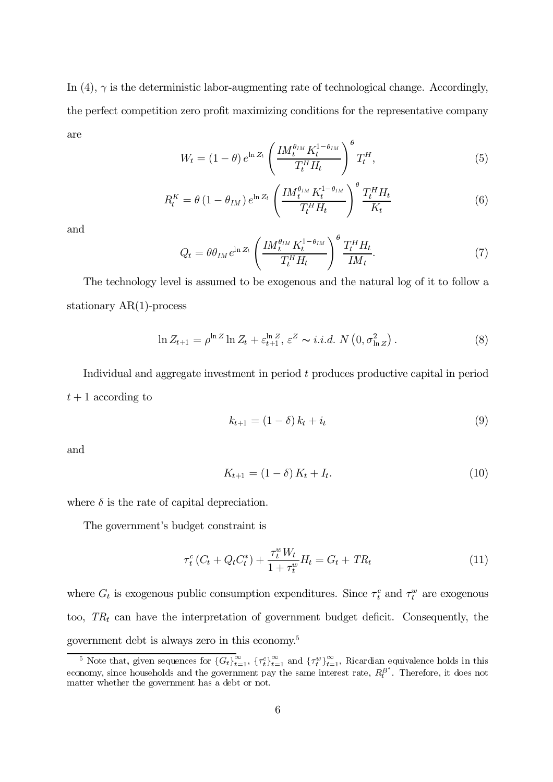In (4),  $\gamma$  is the deterministic labor-augmenting rate of technological change. Accordingly, the perfect competition zero profit maximizing conditions for the representative company are  $\overline{u}$ 

$$
W_t = (1 - \theta) e^{\ln Z_t} \left( \frac{I M_t^{\theta_{IM}} K_t^{1 - \theta_{IM}}}{T_t^H H_t} \right)^{\theta} T_t^H,
$$
\n(5)

$$
R_t^K = \theta \left( 1 - \theta_{IM} \right) e^{\ln Z_t} \left( \frac{I M_t^{\theta_{IM}} K_t^{1 - \theta_{IM}}}{T_t^H H_t} \right)^{\theta} \frac{T_t^H H_t}{K_t} \tag{6}
$$

and

$$
Q_t = \theta \theta_{IM} e^{\ln Z_t} \left( \frac{I M_t^{\theta_{IM}} K_t^{1-\theta_{IM}}}{T_t^H H_t} \right)^{\theta} \frac{T_t^H H_t}{I M_t}.
$$
\n(7)

The technology level is assumed to be exogenous and the natural log of it to follow a stationary  $AR(1)$ -process

$$
\ln Z_{t+1} = \rho^{\ln Z} \ln Z_t + \varepsilon_{t+1}^{\ln Z}, \varepsilon^Z \sim i.i.d. N\left(0, \sigma_{\ln Z}^2\right). \tag{8}
$$

Individual and aggregate investment in period  $t$  produces productive capital in period  $t + 1$  according to

$$
k_{t+1} = (1 - \delta) k_t + i_t \tag{9}
$$

and

$$
K_{t+1} = (1 - \delta) K_t + I_t.
$$
\n(10)

where  $\delta$  is the rate of capital depreciation.

The government's budget constraint is

$$
\tau_t^c (C_t + Q_t C_t^*) + \frac{\tau_t^w W_t}{1 + \tau_t^w} H_t = G_t + TR_t \tag{11}
$$

where  $G_t$  is exogenous public consumption expenditures. Since  $\tau_t^c$  and  $\tau_t^w$  are exogenous too,  $TR_t$  can have the interpretation of government budget deficit. Consequently, the government debt is always zero in this economy.<sup>5</sup>

<sup>&</sup>lt;sup>5</sup> Note that, given sequences for  $\{G_t\}_{t=1}^{\infty}$ ,  $\{\tau_t^c\}_{t=1}^{\infty}$  and  $\{\tau_t^w\}_{t=1}^{\infty}$ , Ricardian equivalence holds in this economy, since households and the government pay the same interest rate,  $R_t^{B^*}$ . Therefore, it does not matter whether the government has a debt or not.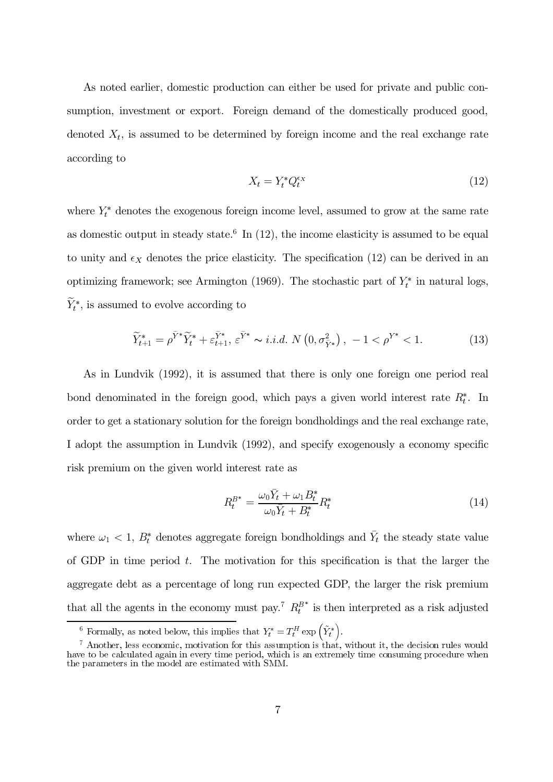As noted earlier, domestic production can either be used for private and public consumption, investment or export. Foreign demand of the domestically produced good, denoted  $X_t$ , is assumed to be determined by foreign income and the real exchange rate according to

$$
X_t = Y_t^* Q_t^{\epsilon_X} \tag{12}
$$

where  $Y_t^*$  denotes the exogenous foreign income level, assumed to grow at the same rate as domestic output in steady state.<sup>6</sup> In  $(12)$ , the income elasticity is assumed to be equal to unity and  $\epsilon_X$  denotes the price elasticity. The specification (12) can be derived in an optimizing framework; see Armington (1969). The stochastic part of  $Y_t^*$  in natural logs,  $\widetilde{Y}^*_t,$  is assumed to evolve according to

$$
\widetilde{Y}_{t+1}^* = \rho^{\widetilde{Y}^*} \widetilde{Y}_t^* + \varepsilon_{t+1}^{\widetilde{Y}^*}, \ \varepsilon^{\widetilde{Y}^*} \sim i.i.d. \ N\left(0, \sigma_{\widetilde{Y}^*}^2\right), \ -1 < \rho^{Y^*} < 1. \tag{13}
$$

As in Lundvik (1992), it is assumed that there is only one foreign one period real bond denominated in the foreign good, which pays a given world interest rate  $R_t^*$ . In order to get a stationary solution for the foreign bondholdings and the real exchange rate, I adopt the assumption in Lundvik (1992), and specify exogenously a economy specific risk premium on the given world interest rate as

$$
R_t^{B^*} = \frac{\omega_0 \bar{Y}_t + \omega_1 B_t^*}{\omega_0 \bar{Y}_t + B_t^*} R_t^*
$$
\n
$$
\tag{14}
$$

where  $\omega_1$  < 1,  $B_t^*$  denotes aggregate foreign bondholdings and  $\bar{Y}_t$  the steady state value of GDP in time period  $t$ . The motivation for this specification is that the larger the aggregate debt as a percentage of long run expected GDP, the larger the risk premium that all the agents in the economy must pay.<sup>7</sup>  $R_t^{B^*}$  is then interpreted as a risk adjusted

<sup>&</sup>lt;sup>6</sup> Formally, as noted below, this implies that  $Y_t^* = T_t^H \exp\left(\tilde{Y}_t^*\right)$ .

 $^7$  Another, less economic, motivation for this assumption is that, without it, the decision rules would have to be calculated again in every time period, which is an extremely time consuming procedure when the parameter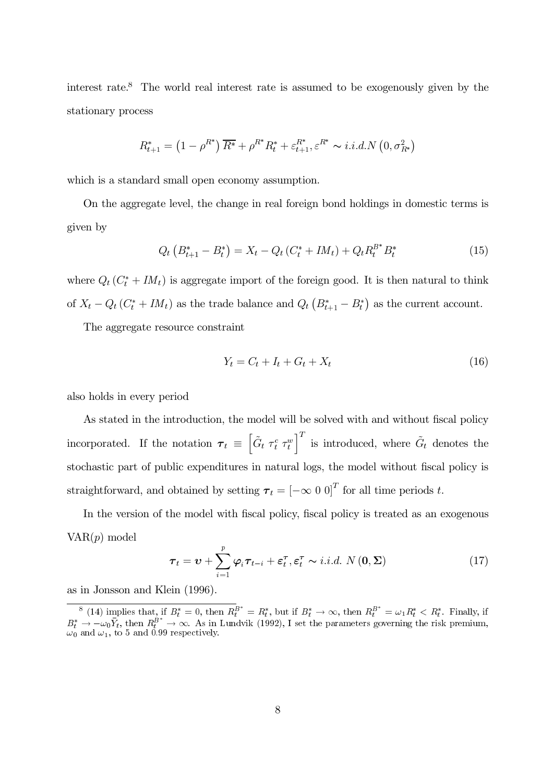interest rate.<sup>8</sup> The world real interest rate is assumed to be exogenously given by the stationary process

$$
R_{t+1}^{*} = (1 - \rho^{R^*}) \overline{R^*} + \rho^{R^*} R_t^* + \varepsilon_{t+1}^{R^*}, \varepsilon^{R^*} \sim i.i.d.N (0, \sigma_{R^*}^2)
$$

which is a standard small open economy assumption.

On the aggregate level, the change in real foreign bond holdings in domestic terms is given by

$$
Q_t\left(B_{t+1}^* - B_t^*\right) = X_t - Q_t\left(C_t^* + IM_t\right) + Q_t R_t^{B^*} B_t^* \tag{15}
$$

where  $Q_t(C_t^* + IM_t)$  is aggregate import of the foreign good. It is then natural to think of  $X_t - Q_t (C_t^* + IM_t)$  as the trade balance and  $Q_t (B_{t+1}^* - B_t^*)$  as the current account.

The aggregate resource constraint

$$
Y_t = C_t + I_t + G_t + X_t \tag{16}
$$

also holds in every period

As stated in the introduction, the model will be solved with and without fiscal policy incorporated. If the notation  $\boldsymbol{\tau}_t \equiv \left[ \tilde{G}_t \ \tau_t^c \ \tau_t^w \right]$  $\left\vert \begin{matrix} T \end{matrix} \right\vert$  is introduced, where  $\tilde{G}_t$  denotes the stochastic part of public expenditures in natural logs, the model without fiscal policy is straightforward, and obtained by setting  $\boldsymbol{\tau}_t = [-\infty \ 0 \ 0]^T$  for all time periods t.

In the version of the model with fiscal policy, fiscal policy is treated as an exogenous  $VAR(p) \text{ model}$ 

$$
\boldsymbol{\tau}_{t} = \boldsymbol{v} + \sum_{i=1}^{p} \boldsymbol{\varphi}_{i} \boldsymbol{\tau}_{t-i} + \boldsymbol{\varepsilon}_{t}^{\boldsymbol{\tau}}, \boldsymbol{\varepsilon}_{t}^{\boldsymbol{\tau}} \sim i.i.d. N(\boldsymbol{0}, \boldsymbol{\Sigma})
$$
(17)

as in Jonsson and Klein  $(1996)$ .

<sup>&</sup>lt;sup>8</sup> (14) implies that, if  $B_t^* = 0$ , then  $R_t^{B^*} = R_t^*$ , but if  $B_t^* \to \infty$ , then  $R_t^{B^*} = \omega_1 R_t^* < R_t^*$ . Finally, if  $B_t^* \to -\omega_0 \bar{Y}_t$ , then  $R_t^{\dot{B}^*} \to \infty$ . As in Lundvik (1992), I set the parameters governing the risk premium,  $\omega_0$  and  $\omega_1$ , to 5 and 0.99 respectively.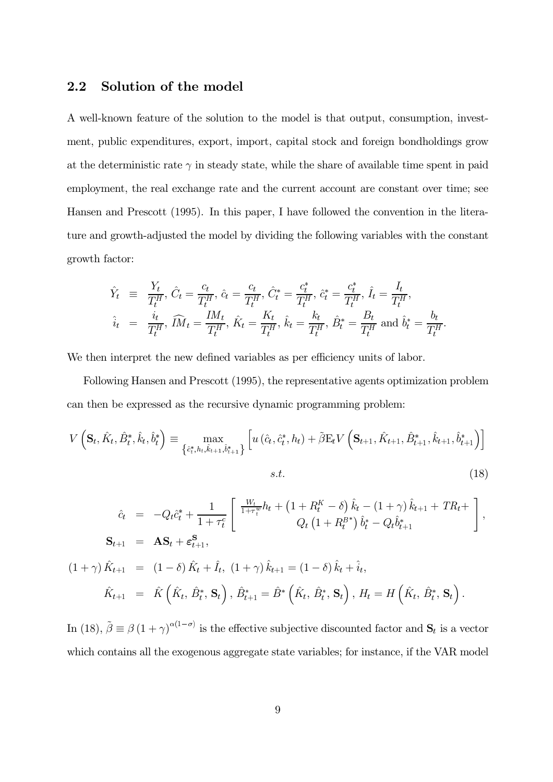#### $2.2$ Solution of the model

A well-known feature of the solution to the model is that output, consumption, investment, public expenditures, export, import, capital stock and foreign bondholdings grow at the deterministic rate  $\gamma$  in steady state, while the share of available time spent in paid employment, the real exchange rate and the current account are constant over time; see Hansen and Prescott (1995). In this paper, I have followed the convention in the literature and growth-adjusted the model by dividing the following variables with the constant growth factor:

$$
\hat{Y}_t \equiv \frac{Y_t}{T_t^H}, \ \hat{C}_t = \frac{c_t}{T_t^H}, \ \hat{c}_t = \frac{c_t}{T_t^H}, \ \hat{C}_t^* = \frac{c_t^*}{T_t^H}, \ \hat{c}_t^* = \frac{c_t^*}{T_t^H}, \ \hat{I}_t = \frac{I_t}{T_t^H},
$$
\n
$$
\hat{i}_t \ = \ \frac{i_t}{T_t^H}, \ \widehat{I}M_t = \frac{IM_t}{T_t^H}, \ \hat{K}_t = \frac{K_t}{T_t^H}, \ \hat{k}_t = \frac{k_t}{T_t^H}, \ \hat{B}_t^* = \frac{B_t}{T_t^H} \text{ and } \ \hat{b}_t^* = \frac{b_t}{T_t^H}
$$

We then interpret the new defined variables as per efficiency units of labor.

Following Hansen and Prescott (1995), the representative agents optimization problem can then be expressed as the recursive dynamic programming problem:

$$
V\left(\mathbf{S}_{t}, \hat{K}_{t}, \hat{B}_{t}^{*}, \hat{k}_{t}, \hat{b}_{t}^{*}\right) \equiv \max_{\left\{\hat{c}_{t}^{*}, h_{t}, \hat{k}_{t+1}, \hat{b}_{t+1}^{*}\right\}} \left[u\left(\hat{c}_{t}, \hat{c}_{t}^{*}, h_{t}\right) + \tilde{\beta}E_{t}V\left(\mathbf{S}_{t+1}, \hat{K}_{t+1}, \hat{B}_{t+1}^{*}, \hat{k}_{t+1}, \hat{b}_{t+1}^{*}\right)\right]
$$
\n
$$
s.t. \tag{18}
$$

$$
t.\t(18)
$$

$$
\hat{c}_{t} = -Q_{t}\hat{c}_{t}^{*} + \frac{1}{1+\tau_{t}^{c}} \left[ \frac{W_{t}}{1+\tau_{t}^{w}}h_{t} + \left(1+R_{t}^{K}-\delta\right)\hat{k}_{t} - \left(1+\gamma\right)\hat{k}_{t+1} + TR_{t} + \right],
$$
\n
$$
\mathbf{S}_{t+1} = \mathbf{A}\mathbf{S}_{t} + \boldsymbol{\varepsilon}_{t+1}^{\mathbf{S}},
$$
\n
$$
(1+\gamma)\hat{K}_{t+1} = (1-\delta)\hat{K}_{t} + \hat{I}_{t}, (1+\gamma)\hat{k}_{t+1} = (1-\delta)\hat{k}_{t} + \hat{i}_{t},
$$
\n
$$
\hat{K}_{t+1} = \hat{K}\left(\hat{K}_{t}, \hat{B}_{t}^{*}, \mathbf{S}_{t}\right), \hat{B}_{t+1}^{*} = \hat{B}^{*}\left(\hat{K}_{t}, \hat{B}_{t}^{*}, \mathbf{S}_{t}\right), H_{t} = H\left(\hat{K}_{t}, \hat{B}_{t}^{*}, \mathbf{S}_{t}\right).
$$

In (18),  $\tilde{\beta} \equiv \beta (1 + \gamma)^{\alpha(1 - \sigma)}$  is the effective subjective discounted factor and  $S_t$  is a vector which contains all the exogenous aggregate state variables; for instance, if the VAR model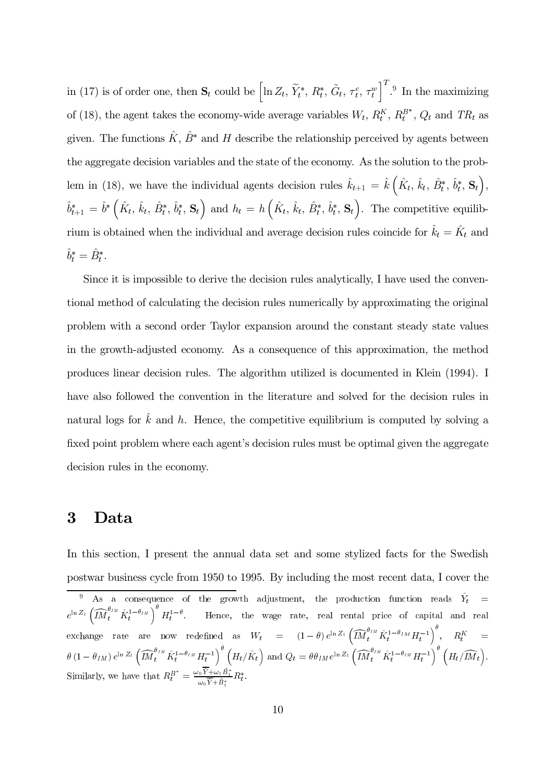in (17) is of order one, then  $\mathbf{S}_t$  could be  $\left[\ln Z_t, \, \widetilde{Y}_t^*, \, R_t^*, \, \widetilde{G}_t, \, \tau_t^c, \, \tau_t^w\right]^T$ .<sup>9</sup> In the maximizing of (18), the agent takes the economy-wide average variables  $W_t$ ,  $R_t^K$ ,  $R_t^{B^*}$ ,  $Q_t$  and  $TR_t$  as given. The functions  $\hat{K}, \hat{B}^*$  and H describe the relationship perceived by agents between the aggregate decision variables and the state of the economy. As the solution to the problem in (18), we have the individual agents decision rules  $\hat{k}_{t+1} = \hat{k} \left( \hat{K}_t, \hat{k}_t, \hat{B}_t^*, \hat{b}_t^*, \mathbf{S}_t \right)$ ,  $\hat{b}_{t+1}^* = \hat{b}^* \left( \hat{K}_t, \hat{k}_t, \hat{B}_t^*, \hat{b}_t^*, \mathbf{S}_t \right)$  and  $h_t = h \left( \hat{K}_t, \hat{k}_t, \hat{B}_t^*, \hat{b}_t^*, \mathbf{S}_t \right)$ . The competitive equilibrium is obtained when the individual and average decision rules coincide for  $\hat{k}_t = \hat{K}_t$  and  $\hat{b}_t^* = \hat{B}_t^*.$ 

Since it is impossible to derive the decision rules analytically, I have used the conventional method of calculating the decision rules numerically by approximating the original problem with a second order Taylor expansion around the constant steady state values in the growth-adjusted economy. As a consequence of this approximation, the method produces linear decision rules. The algorithm utilized is documented in Klein (1994). I have also followed the convention in the literature and solved for the decision rules in natural logs for  $\hat{k}$  and h. Hence, the competitive equilibrium is computed by solving a fixed point problem where each agent's decision rules must be optimal given the aggregate decision rules in the economy.

## 3 Data

In this section, I present the annual data set and some stylized facts for the Swedish postwar business cycle from 1950 to 1995. By including the most recent data, I cover the

<sup>9</sup> As a consequence of the growth adjustment, the production function reads  $\hat{Y}_t$  =  $e^{\ln Z_t}$  $\overbrace{ \widetilde{M}^{\theta_{IM}}_t \hat{K}^{1-\theta_{IM}}_t }^{\text{maxness}}$ cy<br>|ue<br>|  $H_t^{1-\theta}$ . Hence, the wage rate, real rental price of capital and real postwar business cycle from 1950 to 1995. By including the<br>  $\frac{9}{\pi}$  As a consequence of the growth adjustment, the pr<br>  $e^{\ln Z_t} \left( \widehat{IM}_t^{\theta_{IM}} \hat{K}_t^{1-\theta_{IM}} \right)^{\theta} H_t^{1-\theta}$ . Hence, the wage rate, real re<br>
exchange rate a эć  $\left(\widehat{IM}^{\theta_{IM}}_{t} \hat{K}^{1-\theta_{IM}}_{t} H^{-1}_{t}\right)^{\theta}_{-}, \quad R^K_t \quad =$  $\begin{align} \text{rad} \ \text{rad} \ \widehat{IM} \end{align}$ as equence of the growth adjustment, the production function reads  $\hat{Y}_t = \theta_{IM} \int^{\theta} H_t^{1-\theta}$ . Hence, the wage rate, real rental price of capital and rea <sup>9</sup> As a co<br>  $e^{\ln Z_t}$   $\left(\widehat{IM}^{\theta_{IM}}_t \hat{K}^1_t\right)$ <br>
exchange rate<br>  $\theta$   $\left(1 - \theta_{IM}\right) e^{\ln Z_t}$  $\overbrace{IM}^{\theta_{IM}}_t \hat{K}^{1-\theta_{IM}}_t H^{-1}_t$ ence, $_{\rm ed}$  $H_t/\hat{K}_t$  and  $Q_t = \theta \theta_{IM} e^{\ln Z_t}$  $\frac{\widehat{M}_t^{\theta_{IM}} \hat{K}_t^{1-\theta_{IM}} H_t^{-1}}{\widehat{IM}_t^{\theta_{IM}} \hat{K}_t^{1-\theta_{IM}} H_t^{-1}}$  $\begin{pmatrix} \text{tal} \ \text{on} \end{pmatrix}$  $R_t^K$ <br> $H_t / \widehat{IM}_t$  $\mathcal{L}$ Similarly, we have that  $R_t^{B^*} = \frac{\omega_0 \overline{\hat{Y}} + \omega_1 \hat{B}_t^*}{\omega_0 \overline{\hat{Y}} + \hat{B}_t^*} R_t^*.$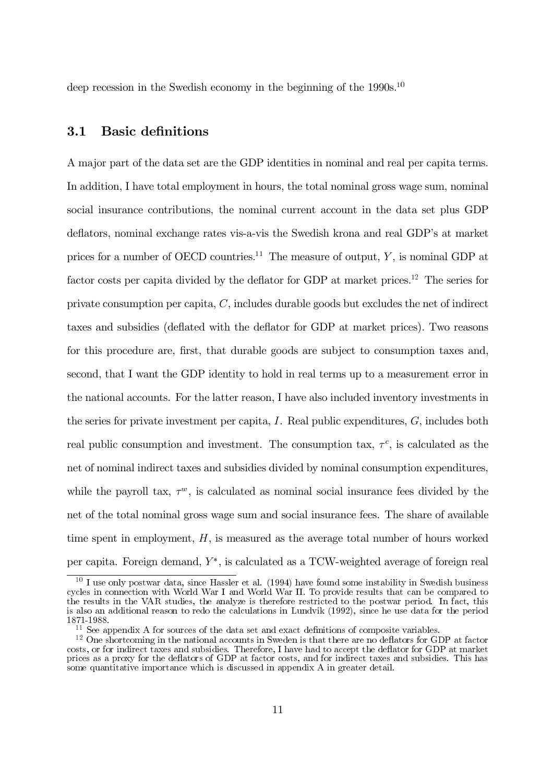deep recession in the Swedish economy in the beginning of the  $1990s$ <sup>10</sup>

### 3.1 Basic definitions

A major part of the data set are the GDP identities in nominal and real per capita terms. In addition, I have total employment in hours, the total nominal gross wage sum, nominal social insurance contributions, the nominal current account in the data set plus GDP deflators, nominal exchange rates vis-a-vis the Swedish krona and real GDP's at market prices for a number of OECD countries.<sup>11</sup> The measure of output,  $Y$ , is nominal GDP at factor costs per capita divided by the deflator for GDP at market prices.<sup>12</sup> The series for private consumption per capita,  $C$ , includes durable goods but excludes the net of indirect taxes and subsidies (deflated with the deflator for GDP at market prices). Two reasons for this procedure are, first, that durable goods are subject to consumption taxes and. second, that I want the GDP identity to hold in real terms up to a measurement error in the national accounts. For the latter reason, I have also included inventory investments in the series for private investment per capita,  $I$ . Real public expenditures,  $G$ , includes both real public consumption and investment. The consumption tax,  $\tau^c$ , is calculated as the net of nominal indirect taxes and subsidies divided by nominal consumption expenditures, while the payroll tax,  $\tau^w$ , is calculated as nominal social insurance fees divided by the net of the total nominal gross wage sum and social insurance fees. The share of available time spent in employment,  $H$ , is measured as the average total number of hours worked per capita. Foreign demand,  $Y^*$ , is calculated as a TCW-weighted average of foreign real

 $^{10}$  I use only postwar data, since Hassler et al. (1994) have found some instability in Swedish business cycles in connection with World War I and World War II. To provide results that can be compared to the results in the VAR studies, the analyze is therefore restricted to the postwar period. In fact, this is also an additional reason to redo the calculations in Lundvik (1992), since he use data for the period 1871-1988.

 $\frac{11}{11}$  See appendix A for sources of the data set and exact definitions of composite variables.

 $^{12}$  One shortcoming in the national accounts in Sweden is that there are no deflators for GDP at factor costs, or for indirect taxes and subsidies. Therefore, I have had to accept the deflator for GDP at market sulface as a proxy for the deflators of GDP at factor costs, and for indirect taxes and subsidies. This has some quantitative importance which is discussed in appendix  $A$  in greater detail.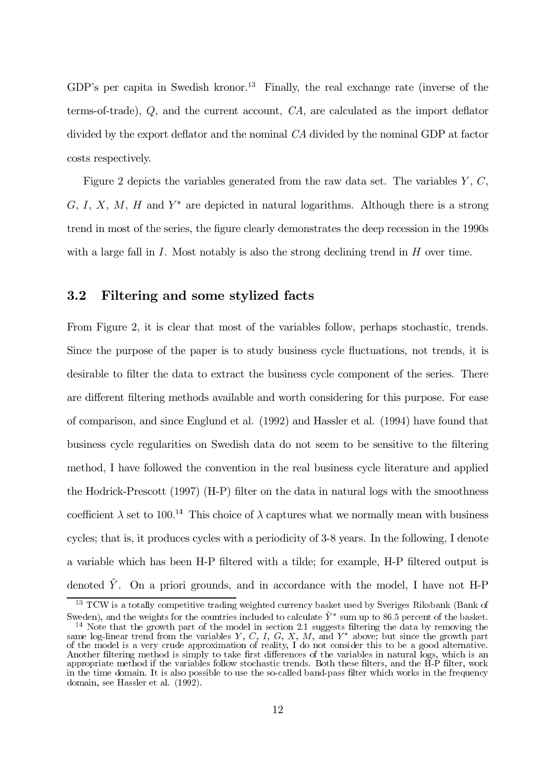GDP's per capita in Swedish kronor.<sup>13</sup> Finally, the real exchange rate (inverse of the terms-of-trade),  $Q$ , and the current account,  $CA$ , are calculated as the import deflator divided by the export deflator and the nominal  $CA$  divided by the nominal GDP at factor costs respectively.

Figure 2 depicts the variables generated from the raw data set. The variables  $Y, C$ , G, I, X, M, H and  $Y^*$  are depicted in natural logarithms. Although there is a strong trend in most of the series, the figure clearly demonstrates the deep recession in the 1990s with a large fall in I. Most notably is also the strong declining trend in  $H$  over time.

### 615 Ilowhulqj dqg vrph vw|ol}hg idfwv

From Figure 2, it is clear that most of the variables follow, perhaps stochastic, trends. Since the purpose of the paper is to study business cycle fluctuations, not trends, it is desirable to filter the data to extract the business cycle component of the series. There are different filtering methods available and worth considering for this purpose. For ease of comparison, and since Englund et al.  $(1992)$  and Hassler et al.  $(1994)$  have found that business cycle regularities on Swedish data do not seem to be sensitive to the filtering method, I have followed the convention in the real business cycle literature and applied the Hodrick-Prescott (1997) (H-P) filter on the data in natural logs with the smoothness coefficient  $\lambda$  set to 100.<sup>14</sup> This choice of  $\lambda$  captures what we normally mean with business cycles; that is, it produces cycles with a periodicity of  $3-8$  years. In the following, I denote a variable which has been H-P filtered with a tilde; for example, H-P filtered output is denoted  $\tilde{Y}$ . On a priori grounds, and in accordance with the model, I have not H-P

 $^{13}$  TCW is a totally competitive trading weighted currency basket used by Sveriges Riksbank (Bank of Sweden), and the weights for the countries included to calculate  $\tilde{Y}^*$  sum up to 86.5 percent of the basket.

<sup>&</sup>lt;sup>14</sup> Note that the growth part of the model in section 2.1 suggests filtering the data by removing the same log-linear trend from the variables  $Y, C, I, G, X, M$ , and  $Y^*$  above; but since the growth part of the model is a very crude approximation of reality. I do not consider this to be a good alternative. Another filtering method is simply to take first differences of the variables in natural logs, which is an appropriate method if the variables follow stochastic trends. Both these filters, and the  $\overrightarrow{H}$ - $\hat{P}$  filter, work in the time domain. It is also possible to use the so-called band-pass filter which works in the frequency domain, see Hassler et al.  $(1992)$ .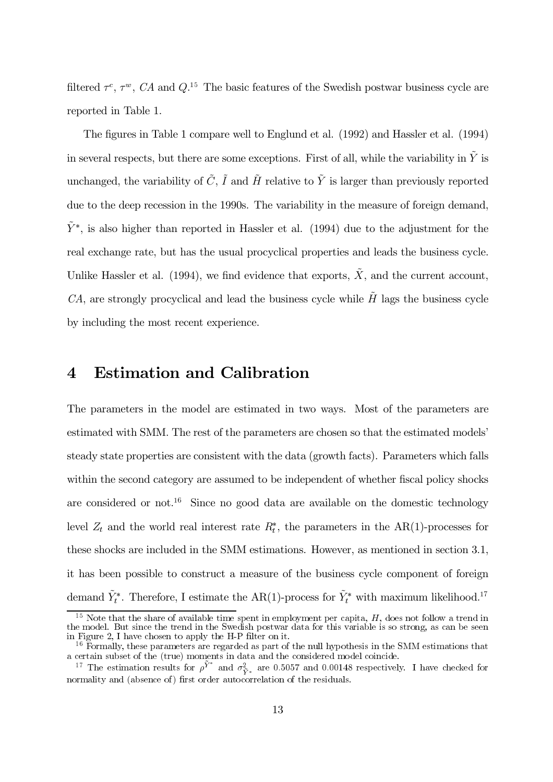filtered  $\tau^c$ ,  $\tau^w$ , CA and Q.<sup>15</sup> The basic features of the Swedish postwar business cycle are reported in Table 1.

The figures in Table 1 compare well to Englund et al. (1992) and Hassler et al. (1994) in several respects, but there are some exceptions. First of all, while the variability in  $\tilde{Y}$  is unchanged, the variability of  $\tilde{C}$ ,  $\tilde{I}$  and  $\tilde{H}$  relative to  $\tilde{Y}$  is larger than previously reported due to the deep recession in the 1990s. The variability in the measure of foreign demand,  $\tilde{Y}^*$ , is also higher than reported in Hassler et al. (1994) due to the adjustment for the real exchange rate, but has the usual procyclical properties and leads the business cycle. Unlike Hassler et al. (1994), we find evidence that exports,  $\tilde{X}$ , and the current account, CA, are strongly procyclical and lead the business cycle while  $\tilde{H}$  lags the business cycle by including the most recent experience.

#### $\boldsymbol{4}$ **Estimation and Calibration**

The parameters in the model are estimated in two ways. Most of the parameters are estimated with SMM. The rest of the parameters are chosen so that the estimated models' steady state properties are consistent with the data (growth facts). Parameters which falls within the second category are assumed to be independent of whether fiscal policy shocks are considered or not.<sup>16</sup> Since no good data are available on the domestic technology level  $Z_t$  and the world real interest rate  $R_t^*$ , the parameters in the AR(1)-processes for these shocks are included in the SMM estimations. However, as mentioned in section 3.1, it has been possible to construct a measure of the business cycle component of foreign demand  $\tilde{Y}_t^*$ . Therefore, I estimate the AR(1)-process for  $\tilde{Y}_t^*$  with maximum likelihood.<sup>17</sup>

<sup>&</sup>lt;sup>15</sup> Note that the share of available time spent in employment per capita, *H*, does not follow a trend in the model. But since the trend in the Swedish postwar data for this variable is so strong, as can be seen in Figur

normality and (absence of) first order autocorrelation of the residuals.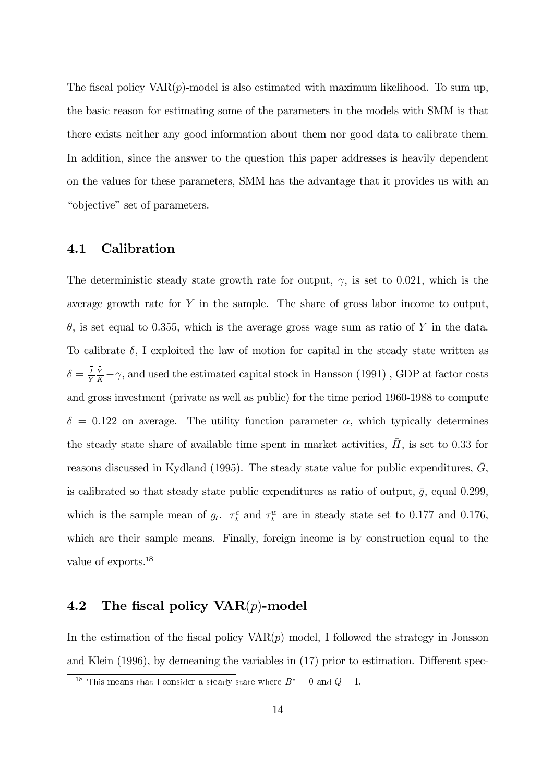The fiscal policy  $VAR(p)$ -model is also estimated with maximum likelihood. To sum up, the basic reason for estimating some of the parameters in the models with SMM is that there exists neither any good information about them nor good data to calibrate them. In addition, since the answer to the question this paper addresses is heavily dependent on the values for these parameters, SMM has the advantage that it provides us with an "objective" set of parameters.

#### 4.1 Calibration

The deterministic steady state growth rate for output,  $\gamma$ , is set to 0.021, which is the average growth rate for  $Y$  in the sample. The share of gross labor income to output,  $\theta$ , is set equal to 0.355, which is the average gross wage sum as ratio of Y in the data. To calibrate  $\delta$ , I exploited the law of motion for capital in the steady state written as  $\delta = \frac{I Y}{Y K} - \gamma$ , and used the estimated capital stock in Hansson (1991), GDP at factor costs and gross investment (private as well as public) for the time period 1960-1988 to compute  $\delta = 0.122$  on average. The utility function parameter  $\alpha$ , which typically determines the steady state share of available time spent in market activities,  $\bar{H}$ , is set to 0.33 for reasons discussed in Kydland (1995). The steady state value for public expenditures,  $\overline{G}$ , is calibrated so that steady state public expenditures as ratio of output,  $\bar{g}$ , equal 0.299, which is the sample mean of  $g_t$ .  $\tau_t^c$  and  $\tau_t^w$  are in steady state set to 0.177 and 0.176, which are their sample means. Finally, foreign income is by construction equal to the value of exports.<sup>18</sup>

#### 4.2 The fiscal policy  $VAR(p)$ -model

In the estimation of the fiscal policy  $VAR(p)$  model, I followed the strategy in Jonsson and Klein  $(1996)$ , by demeaning the variables in  $(17)$  prior to estimation. Different spec-

<sup>&</sup>lt;sup>18</sup> This means that I consider a steady state where  $\bar{B}^* = 0$  and  $\bar{Q} = 1$ .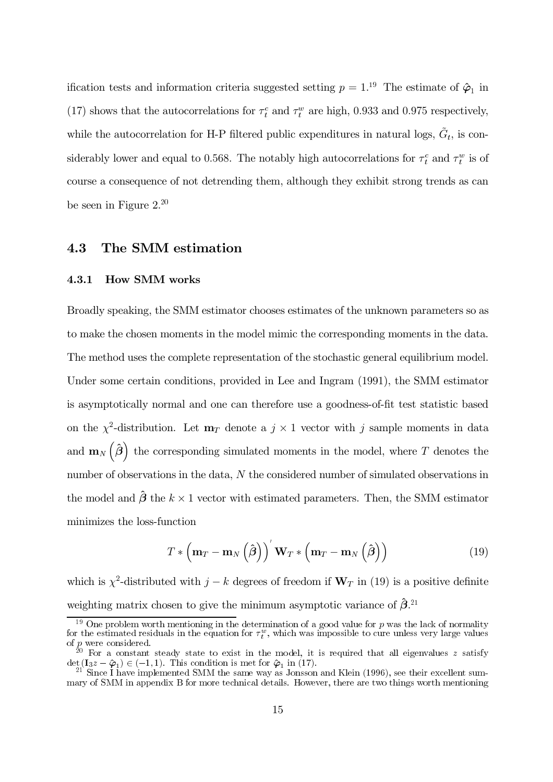ification tests and information criteria suggested setting  $p = 1^{19}$ . The estimate of  $\hat{\varphi}_1$  in (17) shows that the autocorrelations for  $\tau_t^c$  and  $\tau_t^w$  are high, 0.933 and 0.975 respectively, while the autocorrelation for H-P filtered public expenditures in natural logs,  $\tilde{G}_t$ , is considerably lower and equal to 0.568. The notably high autocorrelations for  $\tau_t^c$  and  $\tau_t^w$  is of course a consequence of not detrending them, although they exhibit strong trends as can be seen in Figure  $2.^{20}$ 

#### 4.3 The SMM estimation

#### 4.3.1 **How SMM works**

Broadly speaking, the SMM estimator chooses estimates of the unknown parameters so as to make the chosen moments in the model mimic the corresponding moments in the data. The method uses the complete representation of the stochastic general equilibrium model. Under some certain conditions, provided in Lee and Ingram (1991), the SMM estimator is asymptotically normal and one can therefore use a goodness-of-fit test statistic based on the  $\chi^2$ -distribution. Let  $\mathbf{m}_T$  denote a  $j \times 1$  vector with j sample moments in data and  $\mathbf{m}_{N}\left(\hat{\boldsymbol{\beta}}\right)$  the corresponding simulated moments in the model, where T denotes the number of observations in the data, N the considered number of simulated observations in the model and  $\hat{\boldsymbol{\beta}}$  the  $k \times 1$  vector with estimated parameters. Then, the SMM estimator minimizes the loss-function

$$
T * (\mathbf{m}_T - \mathbf{m}_N (\hat{\boldsymbol{\beta}}))^{'} \mathbf{W}_T * (\mathbf{m}_T - \mathbf{m}_N (\hat{\boldsymbol{\beta}}))
$$
(19)

which is  $\chi^2$ -distributed with  $j - k$  degrees of freedom if  $W_T$  in (19) is a positive definite weighting matrix chosen to give the minimum asymptotic variance of  $\hat{\beta}$ .<sup>21</sup>

One problem worth mentioning in the determination of a good value for  $p$  was the lack of normality for the estimated residuals in the equation for  $\tau_t^w$ , which was impossible to cure unless very large values

of p were considered.<br>
of p were considered.<br>
<sup>20</sup> For a constant steady state to exist in the model, it is required that all eigenvalues z satisfy<br>  $\det(\mathbf{I}_3 z - \hat{\boldsymbol{\varphi}}_1) \in (-1, 1)$ . This condition is met for  $\hat{\boldsymbol{\varphi}}_$ 

mary of SMM in appendix B for more technical details. However, there are two things worth mentioning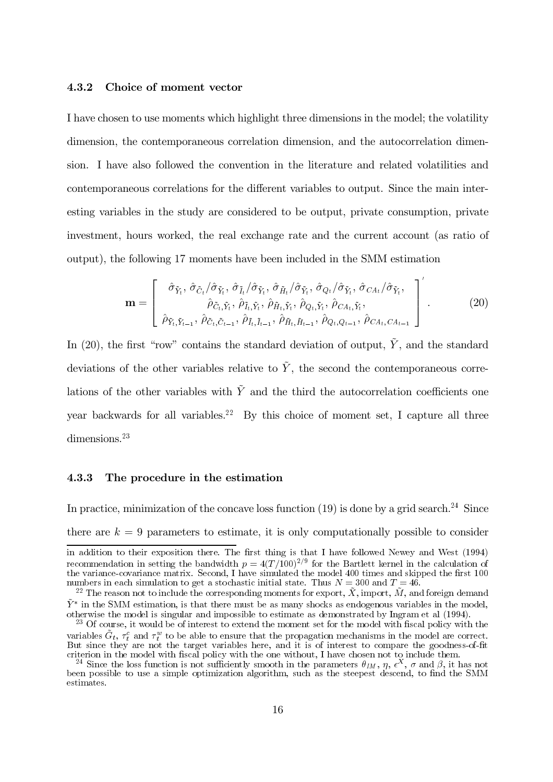### 4.3.2 Choice of moment vector

I have chosen to use moments which highlight three dimensions in the model; the volatility dimension, the contemporaneous correlation dimension, and the autocorrelation dimension. I have also followed the convention in the literature and related volatilities and contemporaneous correlations for the different variables to output. Since the main interesting variables in the study are considered to be output, private consumption, private investment, hours worked, the real exchange rate and the current account (as ratio of output), the following 17 moments have been included in the SMM estimation g 17 moments have been included in the SMM es<br>  $\hat{\sigma}_{\tilde{Y}_t}, \hat{\sigma}_{\tilde{C}_t}/\hat{\sigma}_{\tilde{Y}_t}, \hat{\sigma}_{\tilde{I}_t}/\hat{\sigma}_{\tilde{Y}_t}, \hat{\sigma}_{\tilde{H}_t}/\hat{\sigma}_{\tilde{Y}_t}, \hat{\sigma}_{Q_t}/\hat{\sigma}_{\tilde{Y}_t}, \hat{\sigma}_{CA_t}/\hat{\sigma}_{\tilde{Y}_t}$ ເ $\tilde{I}_t$ 

$$
\mathbf{m} = \begin{bmatrix} \hat{\sigma}_{\tilde{Y}_t}, \hat{\sigma}_{\tilde{C}_t} / \hat{\sigma}_{\tilde{Y}_t}, \hat{\sigma}_{\tilde{I}_t} / \hat{\sigma}_{\tilde{Y}_t}, \hat{\sigma}_{\tilde{H}_t} / \hat{\sigma}_{\tilde{Y}_t}, \hat{\sigma}_{Q_t} / \hat{\sigma}_{\tilde{Y}_t}, \hat{\sigma}_{CA_t} / \hat{\sigma}_{\tilde{Y}_t}, \\ \hat{\rho}_{\tilde{C}_t, \tilde{Y}_t}, \hat{\rho}_{\tilde{I}_t, \tilde{Y}_t}, \hat{\rho}_{\tilde{H}_t, \tilde{Y}_t}, \hat{\rho}_{Q_t, \tilde{Y}_t}, \hat{\rho}_{CA_t, \tilde{Y}_t}, \\ \hat{\rho}_{\tilde{Y}_t, \tilde{Y}_{t-1}}, \hat{\rho}_{\tilde{C}_t, \tilde{C}_{t-1}}, \hat{\rho}_{\tilde{I}_t, \tilde{I}_{t-1}}, \hat{\rho}_{\tilde{H}_t, \tilde{H}_{t-1}}, \hat{\rho}_{Q_t, Q_{t-1}}, \hat{\rho}_{CA_t, CA_{t-1}} \end{bmatrix}^{\prime}.
$$
(20)

 $\overline{1}$ 

In (20), the first "row" contains the standard deviation of output,  $\tilde{Y}$ , and the standard deviations of the other variables relative to  $\tilde{Y}$ , the second the contemporaneous correlations of the other variables with  $\tilde{Y}$  and the third the autocorrelation coefficients one year backwards for all variables.<sup>22</sup> By this choice of moment set, I capture all three dimensions. $23$ 

### 4.3.3 The procedure in the estimation

In practice, minimization of the concave loss function (19) is done by a grid search.<sup>24</sup> Since there are  $k = 9$  parameters to estimate, it is only computationally possible to consider

in addition to their exposition there. The first thing is that I have followed Newey and West  $(1994)$ recommendation in setting the bandwidth  $p = 4(T/100)^{2/9}$  for the Bartlett kernel in the calculation of the variance-covariance matrix. Second, I have simulated the model 400 times and skipped the first 100 numbers in each simulation to get a stochastic initial state. Thus  $N = 300$  and  $T = 46$ .<br><sup>22</sup> The reason not to include the corresponding moments for export,  $\tilde{X}$ , import,  $\tilde{M}$ , and foreign demand

 $\tilde{Y}^*$  in the SMM estimation, is that there must be as many shocks as endogenous variables in the model, otherwise the model is singular and impossible to estimate as demonstrated by Ingram et al (1994).<br><sup>23</sup> Of course, it would be of interest to extend the moment set for the model with fiscal policy with the

variables  $\tilde{G}_t$ ,  $\tau_t^c$  and  $\tau_t^w$  to be able to ensure that the propagation mechanisms in the model are correct. But since they are not the target variables here, and it is of interest to compare the goodness-of-fit criterion in the model with fiscal policy with the one without, I have chosen not to include them.

<sup>&</sup>lt;sup>24</sup> Since the loss function is not sufficiently smooth in the parameters  $\theta_{IM}$ ,  $\eta$ ,  $\epsilon^X$ ,  $\sigma$  and  $\beta$ , it has not been possible to use a simple optimization algorithm, such as the steepest descend, to find the SMM estimates.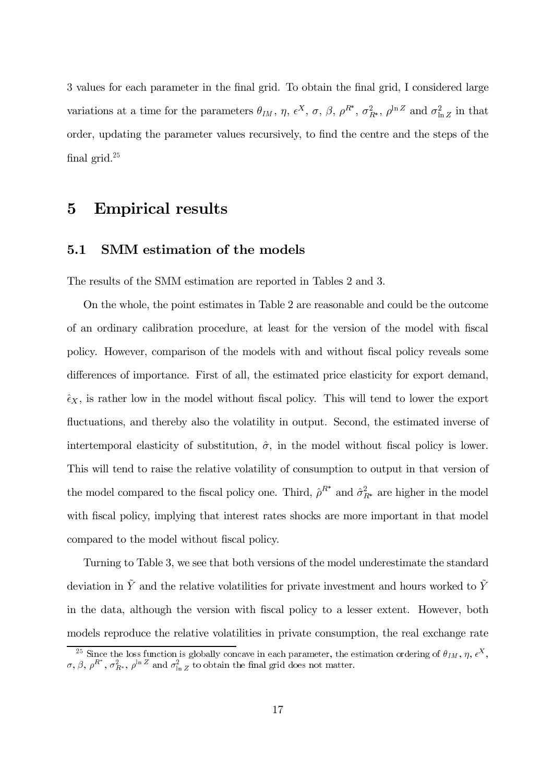3 values for each parameter in the final grid. To obtain the final grid, I considered large variations at a time for the parameters  $\theta_{IM}$ ,  $\eta$ ,  $\epsilon^X$ ,  $\sigma$ ,  $\beta$ ,  $\rho^{R^*}$ ,  $\sigma_{R^*}^2$ ,  $\rho^{\ln Z}$  and  $\sigma_{\ln Z}^2$  in that order, updating the parameter values recursively, to find the centre and the steps of the final grid. $25$ 

# 5 Empirical results

### 5.1 SMM estimation of the models

The results of the SMM estimation are reported in Tables 2 and 3.

On the whole, the point estimates in Table 2 are reasonable and could be the outcome of an ordinary calibration procedure, at least for the version of the model with fiscal policy. However, comparison of the models with and without fiscal policy reveals some differences of importance. First of all, the estimated price elasticity for export demand,  $\hat{\epsilon}_X$ , is rather low in the model without fiscal policy. This will tend to lower the export fluctuations, and thereby also the volatility in output. Second, the estimated inverse of intertemporal elasticity of substitution,  $\hat{\sigma}$ , in the model without fiscal policy is lower. This will tend to raise the relative volatility of consumption to output in that version of the model compared to the fiscal policy one. Third,  $\hat{\rho}^{R^*}$  and  $\hat{\sigma}_{R^*}^2$  are higher in the model with fiscal policy, implying that interest rates shocks are more important in that model compared to the model without fiscal policy.

Turning to Table 3, we see that both versions of the model underestimate the standard deviation in  $\tilde{Y}$  and the relative volatilities for private investment and hours worked to  $\tilde{Y}$ in the data, although the version with fiscal policy to a lesser extent. However, both models reproduce the relative volatilities in private consumption, the real exchange rate

<sup>&</sup>lt;sup>25</sup> Since the loss function is globally concave in each parameter, the estimation ordering of  $\theta_{IM}$ ,  $\eta$ ,  $\epsilon^X$ ,  $\sigma$ ,  $\beta$ ,  $\rho^{R^*}$ ,  $\sigma_{R^*}^2$ ,  $\rho^{\ln Z}$  and  $\sigma_{\ln Z}^2$  to obtain the final grid does not matter.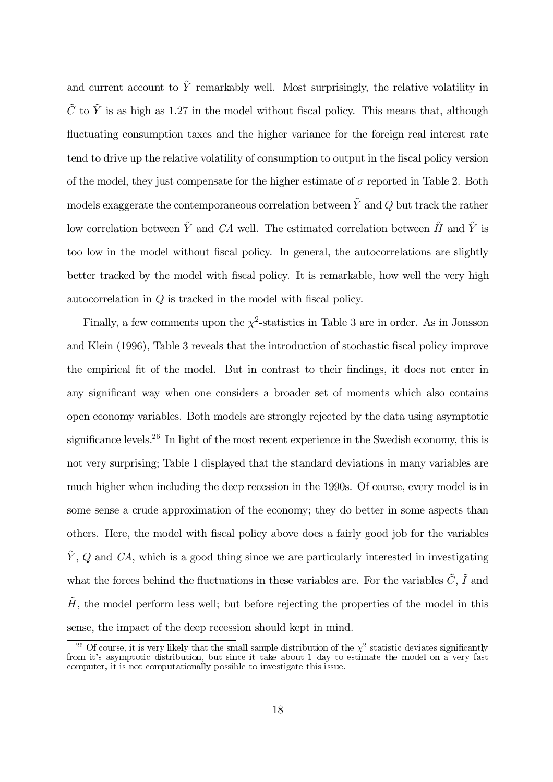and current account to  $\tilde{Y}$  remarkably well. Most surprisingly, the relative volatility in  $\tilde{C}$  to  $\tilde{Y}$  is as high as 1.27 in the model without fiscal policy. This means that, although fluctuating consumption taxes and the higher variance for the foreign real interest rate tend to drive up the relative volatility of consumption to output in the fiscal policy version of the model, they just compensate for the higher estimate of  $\sigma$  reported in Table 2. Both models exaggerate the contemporaneous correlation between  $\tilde{Y}$  and  $Q$  but track the rather low correlation between  $\tilde{Y}$  and  $\tilde{C}A$  well. The estimated correlation between  $\tilde{H}$  and  $\tilde{Y}$  is too low in the model without fiscal policy. In general, the autocorrelations are slightly better tracked by the model with fiscal policy. It is remarkable, how well the very high autocorrelation in  $Q$  is tracked in the model with fiscal policy.

Finally, a few comments upon the  $\chi^2$ -statistics in Table 3 are in order. As in Jonsson and Klein (1996), Table 3 reveals that the introduction of stochastic fiscal policy improve the empirical fit of the model. But in contrast to their findings, it does not enter in any significant way when one considers a broader set of moments which also contains open economy variables. Both models are strongly rejected by the data using asymptotic significance levels.<sup>26</sup> In light of the most recent experience in the Swedish economy, this is not very surprising; Table 1 displayed that the standard deviations in many variables are pxflux much higher when including the deep recession in the 1990s. Of course, every model is in some sense a crude approximation of the economy; they do better in some aspects than others. Here, the model with fiscal policy above does a fairly good job for the variables  $\tilde{Y}, Q$  and CA, which is a good thing since we are particularly interested in investigating what the forces behind the fluctuations in these variables are. For the variables  $\tilde{C}$ ,  $\tilde{I}$  and  $H$ , the model perform less well; but before rejecting the properties of the model in this sense, the impact of the deep recession should kept in mind.

<sup>&</sup>lt;sup>26</sup> Of course, it is very likely that the small sample distribution of the  $\chi^2$ -statistic deviates significantly from it's asymptotic distribution, but since it take about 1 day to estimate the model on a very fast from the largest matrix methods with the computer when we look in the same computer. It is not computationally possible to investigate this issue.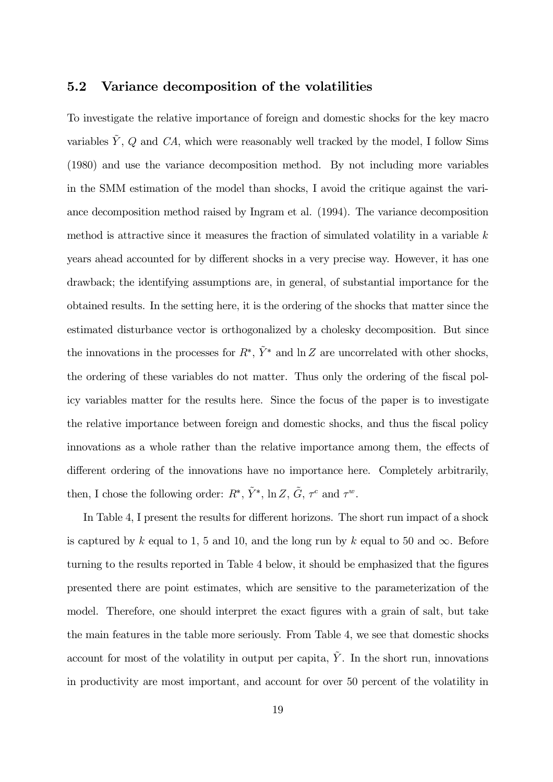### 5.2 Variance decomposition of the volatilities

To investigate the relative importance of foreign and domestic shocks for the key macro variables  $\tilde{Y}$ , Q and CA, which were reasonably well tracked by the model, I follow Sims  $(1980)$  and use the variance decomposition method. By not including more variables in the SMM estimation of the model than shocks, I avoid the critique against the variance decomposition method raised by Ingram et al.  $(1994)$ . The variance decomposition method is attractive since it measures the fraction of simulated volatility in a variable  $k$ years ahead accounted for by different shocks in a very precise way. However, it has one drawback; the identifying assumptions are, in general, of substantial importance for the obtained results. In the setting here, it is the ordering of the shocks that matter since the estimated disturbance vector is orthogonalized by a cholesky decomposition. But since the innovations in the processes for  $R^*, \tilde{Y}^*$  and  $\ln Z$  are uncorrelated with other shocks, the ordering of these variables do not matter. Thus only the ordering of the fiscal polleft icy variables matter for the results here. Since the focus of the paper is to investigate the relative importance between foreign and domestic shocks, and thus the fiscal policy innovations as a whole rather than the relative importance among them, the effects of different ordering of the innovations have no importance here. Completely arbitrarily, then, I chose the following order:  $R^*, \tilde{Y}^*, \ln Z, \tilde{G}, \tau^c \text{ and } \tau^w$ .

In Table 4, I present the results for different horizons. The short run impact of a shock is captured by k equal to 1, 5 and 10, and the long run by k equal to 50 and  $\infty$ . Before turning to the results reported in Table 4 below, it should be emphasized that the figures presented there are point estimates, which are sensitive to the parameterization of the model. Therefore, one should interpret the exact figures with a grain of salt, but take the main features in the table more seriously. From Table 4, we see that domestic shocks account for most of the volatility in output per capita,  $\tilde{Y}$ . In the short run, innovations in productivity are most important, and account for over 50 percent of the volatility in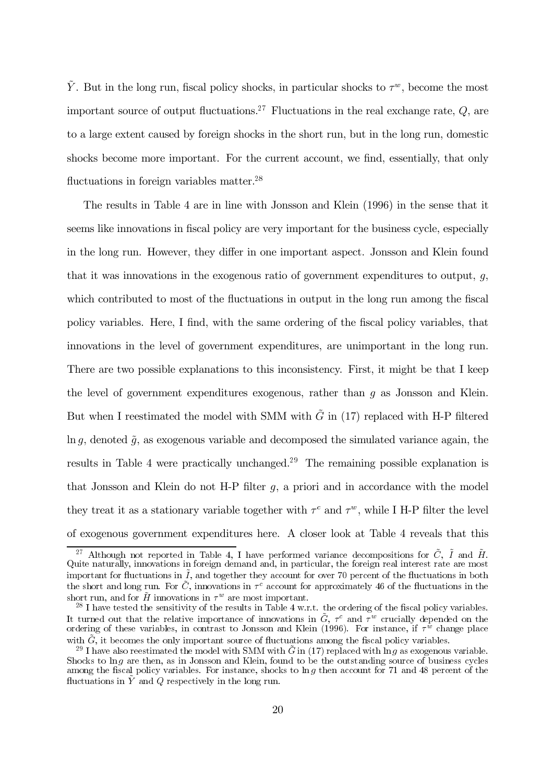$\tilde{Y}$ . But in the long run, fiscal policy shocks, in particular shocks to  $\tau^w$ , become the most important source of output fluctuations.<sup>27</sup> Fluctuations in the real exchange rate,  $Q$ , are to a large extent caused by foreign shocks in the short run, but in the long run, domestic shocks become more important. For the current account, we find, essentially, that only fluctuations in foreign variables matter. $^{28}$ 

The results in Table 4 are in line with Jonsson and Klein (1996) in the sense that it seems like innovations in fiscal policy are very important for the business cycle, especially in the long run. However, they differ in one important aspect. Jonsson and Klein found that it was innovations in the exogenous ratio of government expenditures to output,  $q$ , which contributed to most of the fluctuations in output in the long run among the fiscal policy variables. Here, I find, with the same ordering of the fiscal policy variables, that innovations in the level of government expenditures, are unimportant in the long run. There are two possible explanations to this inconsistency. First, it might be that I keep the level of government expenditures exogenous, rather than  $q$  as Jonsson and Klein. But when I reestimated the model with SMM with  $\tilde{G}$  in (17) replaced with H-P filtered ln q, denoted  $\tilde{q}$ , as exogenous variable and decomposed the simulated variance again, the results in Table 4 were practically unchanged.<sup>29</sup> The remaining possible explanation is that Jonsson and Klein do not H-P filter  $q$ , a priori and in accordance with the model they treat it as a stationary variable together with  $\tau^c$  and  $\tau^w$ , while I H-P filter the level of exogenous government expenditures here. A closer look at Table 4 reveals that this

<sup>&</sup>lt;sup>27</sup> Although not reported in Table 4, I have performed variance decompositions for  $\tilde{C}$ ,  $\tilde{I}$  and  $\tilde{H}$ . Quite naturally, innovations in foreign demand and, in particular, the foreign real interest rate are most important for fluctuations in  $\tilde{I}$ , and together they account for over 70 percent of the fluctuations in both the short and long run. For  $\tilde{C}$ , innovations in  $\tau^c$  account for approximately 46 of the fluctuations in the short run, and for  $\tilde{H}$  innovations in  $\tau^w$  are most important.

 $^{28}$  I have tested the sensitivity of the results in Table 4 w.r.t. the ordering of the fiscal policy variables. It turned out that the relative importance of innovations in  $\tilde{G}$ ,  $\tau^c$  and  $\tau^w$  crucially depended on the ordering of these variables, in contrast to Jonsson and Klein (1996). For instance, if  $\tau^{\psi}$  change place with  $\tilde{G}$ , it becomes the only important source of fluctuations among the fiscal policy variables.

<sup>&</sup>lt;sup>29</sup> I have also reestimated the model with SMM with  $\tilde{G}$  in (17) replaced with  $\ln q$  as exogenous variable. Shocks to  $\ln q$  are then, as in Jonsson and Klein, found to be the outstanding source of business cycles among the fiscal policy variables. For instance, shocks to  $\ln g$  then account for 71 and 48 percent of the fluctuations in  $\tilde{Y}$  and Q respectively in the long run.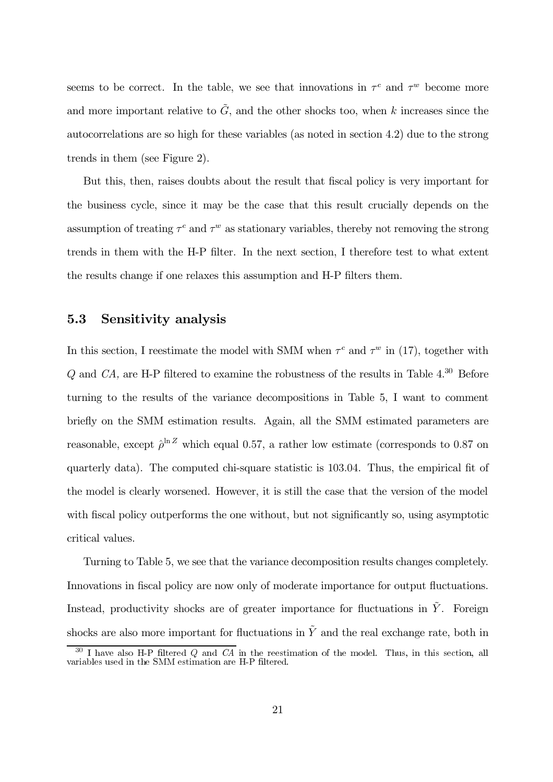seems to be correct. In the table, we see that innovations in  $\tau^c$  and  $\tau^w$  become more and more important relative to  $\tilde{G}$ , and the other shocks too, when k increases since the autocorrelations are so high for these variables (as noted in section 4.2) due to the strong trends in them (see Figure 2).

But this, then, raises doubts about the result that fiscal policy is very important for the business cycle, since it may be the case that this result crucially depends on the assumption of treating  $\tau^c$  and  $\tau^w$  as stationary variables, thereby not removing the strong trends in them with the H-P filter. In the next section, I therefore test to what extent the results change if one relaxes this assumption and H-P filters them.

#### $5.3$ Sensitivity analysis

In this section, I restimate the model with SMM when  $\tau^c$  and  $\tau^w$  in (17), together with  $Q$  and  $CA$ , are H-P filtered to examine the robustness of the results in Table 4.<sup>30</sup> Before turning to the results of the variance decompositions in Table 5, I want to comment briefly on the SMM estimation results. Again, all the SMM estimated parameters are reasonable, except  $\hat{\rho}^{\ln Z}$  which equal 0.57, a rather low estimate (corresponds to 0.87 on quarterly data). The computed chi-square statistic is 103.04. Thus, the empirical fit of the model is clearly worsened. However, it is still the case that the version of the model with fiscal policy outperforms the one without, but not significantly so, using asymptotic critical values.

Turning to Table 5, we see that the variance decomposition results changes completely. Innovations in fiscal policy are now only of moderate importance for output fluctuations. Instead, productivity shocks are of greater importance for fluctuations in  $\tilde{Y}$ . Foreign shocks are also more important for fluctuations in  $\tilde{Y}$  and the real exchange rate, both in

 $30$  I have also H-P filtered Q and CA in the reestimation of the model. Thus, in this section, all variables used in the SMM estimation are H-P filtered.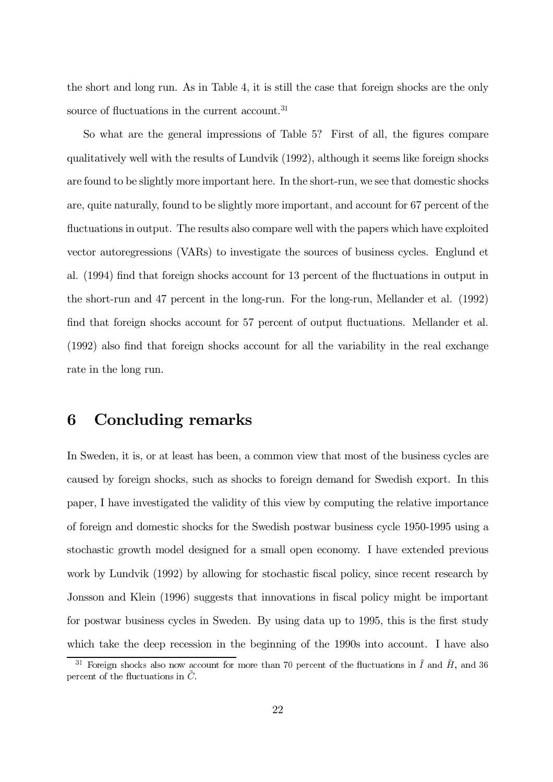the short and long run. As in Table 4, it is still the case that foreign shocks are the only source of fluctuations in the current account.<sup>31</sup>

So what are the general impressions of Table 5? First of all, the figures compare qualitatively well with the results of Lundvik (1992), although it seems like foreign shocks are found to be slightly more important here. In the short-run, we see that domestic shocks are, quite naturally, found to be slightly more important, and account for 67 percent of the fluctuations in output. The results also compare well with the papers which have exploited vector autoregressions (VARs) to investigate the sources of business cycles. Englund et al. (1994) find that foreign shocks account for 13 percent of the fluctuations in output in the short-run and 47 percent in the long-run. For the long-run, Mellander et al. (1992) find that foreign shocks account for 57 percent of output fluctuations. Mellander et al. (1992) also find that foreign shocks account for all the variability in the real exchange rate in the long run.

#### Concluding remarks 6

In Sweden, it is, or at least has been, a common view that most of the business cycles are caused by foreign shocks, such as shocks to foreign demand for Swedish export. In this paper, I have investigated the validity of this view by computing the relative importance of foreign and domestic shocks for the Swedish postwar business cycle 1950-1995 using a stochastic growth model designed for a small open economy. I have extended previous work by Lundvik (1992) by allowing for stochastic fiscal policy, since recent research by Jonsson and Klein (1996) suggests that innovations in fiscal policy might be important for postwar business cycles in Sweden. By using data up to 1995, this is the first study which take the deep recession in the beginning of the 1990s into account. I have also

<sup>&</sup>lt;sup>31</sup> Foreign shocks also now account for more than 70 percent of the fluctuations in  $\ddot{I}$  and  $\ddot{H}$ , and 36 percent of the fluctuations in  $\ddot{C}$ .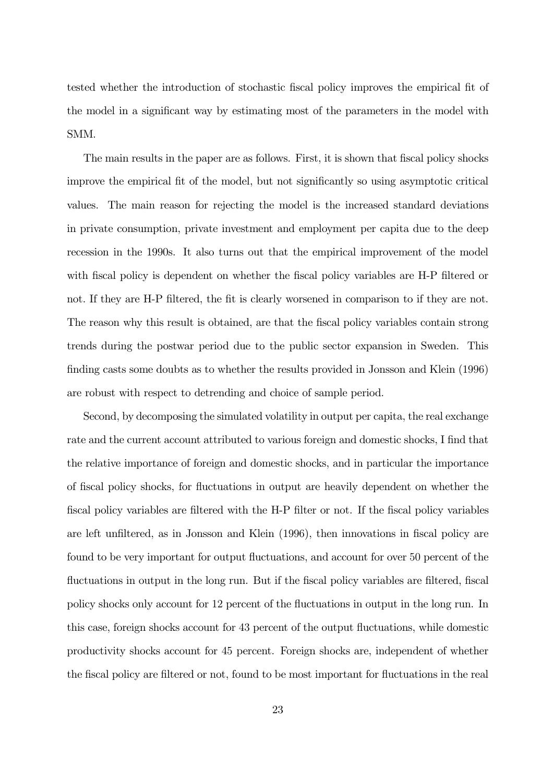tested whether the introduction of stochastic fiscal policy improves the empirical fit of the model in a significant way by estimating most of the parameters in the model with SMM.

The main results in the paper are as follows. First, it is shown that fiscal policy shocks improve the empirical fit of the model, but not significantly so using asymptotic critical values. The main reason for rejecting the model is the increased standard deviations in private consumption, private investment and employment per capita due to the deep recession in the 1990s. It also turns out that the empirical improvement of the model with fiscal policy is dependent on whether the fiscal policy variables are H-P filtered or not. If they are H-P filtered, the fit is clearly worsened in comparison to if they are not. The reason why this result is obtained, are that the fiscal policy variables contain strong trends during the postwar period due to the public sector expansion in Sweden. This finding casts some doubts as to whether the results provided in Jonsson and Klein (1996) are robust with respect to detending and choice of sample period.

Second, by decomposing the simulated volatility in output per capita, the real exchange rate and the current account attributed to various foreign and domestic shocks, I find that the relative importance of foreign and domestic shocks, and in particular the importance of fiscal policy shocks, for fluctuations in output are heavily dependent on whether the fiscal policy variables are filtered with the H-P filter or not. If the fiscal policy variables are left unfiltered, as in Jonsson and Klein  $(1996)$ , then innovations in fiscal policy are found to be very important for output fluctuations, and account for over 50 percent of the fluctuations in output in the long run. But if the fiscal policy variables are filtered, fiscal policy shocks only account for 12 percent of the fluctuations in output in the long run. In this case, foreign shocks account for 43 percent of the output fluctuations, while domestic productivity shocks account for 45 percent. Foreign shocks are, independent of whether the fiscal policy are filtered or not, found to be most important for fluctuations in the real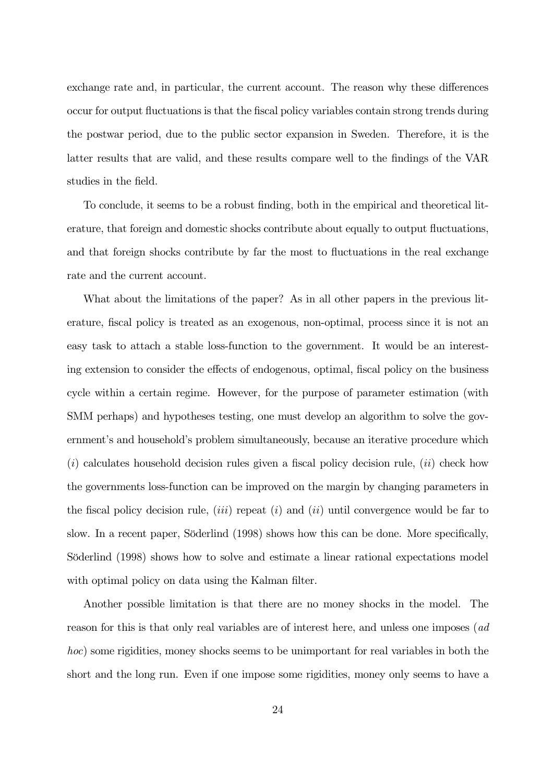exchange rate and, in particular, the current account. The reason why these differences occur for output fluctuations is that the fiscal policy variables contain strong trends during the postwar period, due to the public sector expansion in Sweden. Therefore, it is the latter results that are valid, and these results compare well to the findings of the VAR studies in the field.

To conclude, it seems to be a robust finding, both in the empirical and theoretical literature, that foreign and domestic shocks contribute about equally to output fluctuations, and that foreign shocks contribute by far the most to fluctuations in the real exchange rate and the current account.

What about the limitations of the paper? As in all other papers in the previous literature, fiscal policy is treated as an exogenous, non-optimal, process since it is not an easy task to attach a stable loss-function to the government. It would be an interesting extension to consider the effects of endogenous, optimal, fiscal policy on the business cycle within a certain regime. However, for the purpose of parameter estimation (with SMM perhaps) and hypotheses testing, one must develop an algorithm to solve the government's and household's problem simultaneously, because an iterative procedure which  $(i)$  calculates household decision rules given a fiscal policy decision rule,  $(ii)$  check how the governments loss-function can be improved on the margin by changing parameters in the fiscal policy decision rule, (*iii*) repeat (*i*) and (*ii*) until convergence would be far to slow. In a recent paper, Söderlind (1998) shows how this can be done. More specifically, Söderlind (1998) shows how to solve and estimate a linear rational expectations model with optimal policy on data using the Kalman filter.

Another possible limitation is that there are no money shocks in the model. The reason for this is that only real variables are of interest here, and unless one imposes (ad *hoc*) some rigidities, money shocks seems to be unimportant for real variables in both the short and the long run. Even if one impose some rigidities, money only seems to have a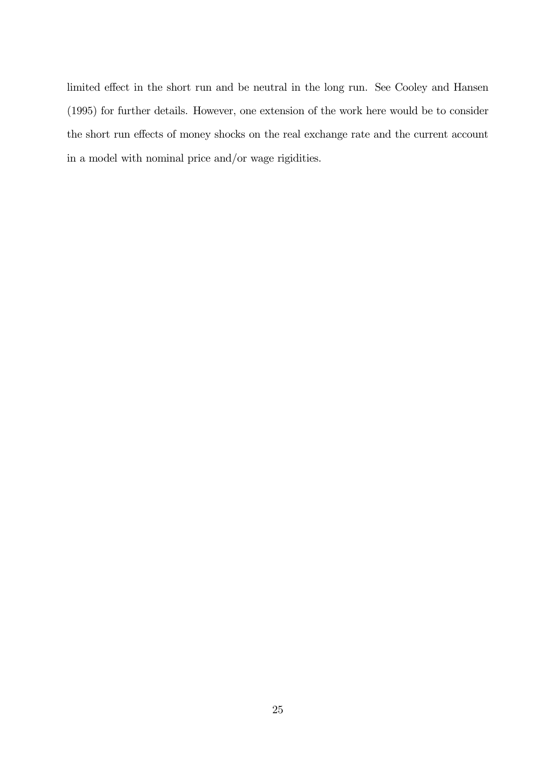limited effect in the short run and be neutral in the long run. See Cooley and Hansen (1995) for further details. However, one extension of the work here would be to consider the short run effects of money shocks on the real exchange rate and the current account in a model with nominal price and/or wage rigidities.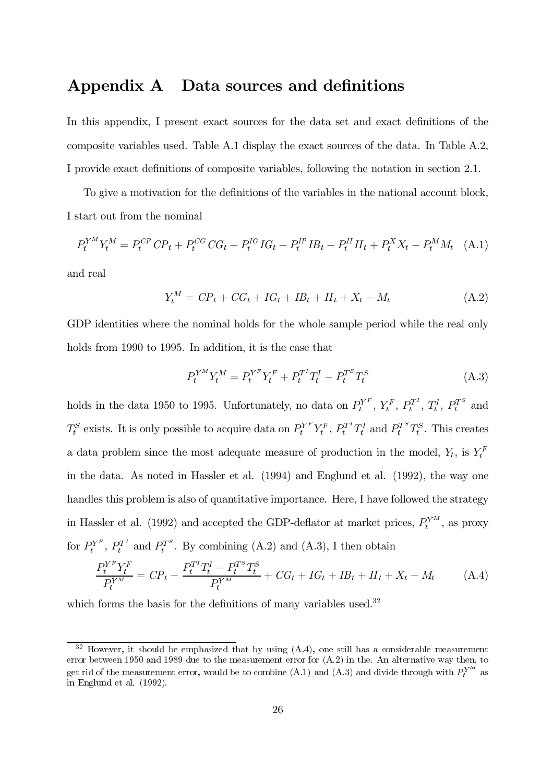# Appendix A Data sources and definitions

In this appendix, I present exact sources for the data set and exact definitions of the composite variables used. Table A.1 display the exact sources of the data. In Table A.2, I provide exact definitions of composite variables, following the notation in section 2.1.

To give a motivation for the definitions of the variables in the national account block, I start out from the nominal

$$
P_t^{Y^M} Y_t^M = P_t^{CP} C P_t + P_t^{CG} C G_t + P_t^{IG} I G_t + P_t^{IP} I B_t + P_t^{II} I I_t + P_t^X X_t - P_t^M M_t \quad (A.1)
$$

and real

$$
Y_t^M = CP_t + CG_t + IG_t + IB_t + II_t + X_t - M_t \tag{A.2}
$$

GDP identities where the nominal holds for the whole sample period while the real only holds from 1990 to 1995. In addition, it is the case that

$$
P_t^{Y^M} Y_t^M = P_t^{Y^F} Y_t^F + P_t^{T^I} T_t^I - P_t^{T^S} T_t^S
$$
\n(A.3)

holds in the data 1950 to 1995. Unfortunately, no data on  $P_t^{Y^F}$ ,  $Y_t^F$ ,  $P_t^{T^I}$ ,  $T_t^I$ ,  $P_t^{T^S}$  and  $T_t^S$  exists. It is only possible to acquire data on  $P_t^{Y^F} Y_t^F$ ,  $P_t^{T^I} T_t^I$  and  $P_t^{T^S} T_t^S$ . This creates a data problem since the most adequate measure of production in the model,  $Y_t$ , is  $Y_t^F$ in the data. As noted in Hassler et al.  $(1994)$  and Englund et al.  $(1992)$ , the way one handles this problem is also of quantitative importance. Here, I have followed the strategy in Hassler et al. (1992) and accepted the GDP-deflator at market prices,  $P_t^{Y^M}$ , as proxy for  $P_t^{Y^F}$ ,  $P_t^{T^I}$  and  $P_t^{T^S}$ . By combining (A.2) and (A.3), I then obtain

$$
\frac{P_t^{Y^F} Y_t^F}{P_t^{Y^M}} = C P_t - \frac{P_t^{T^I} T_t^I - P_t^{T^S} T_t^S}{P_t^{Y^M}} + C G_t + I G_t + I B_t + II_t + X_t - M_t \tag{A.4}
$$

which forms the basis for the definitions of many variables used.<sup>32</sup>

 $\frac{32}{3}$  However, it should be emphasized that by using (A.4), one still has a considerable measurement error between 1950 and 1989 due to the measurement error for  $(A.2)$  in the. An alternative way then, to get rid of the measurement error, would be to combine (A.1) and (A.3) and divide through with  $P_t^{Y^M}$  as in Englund et al.  $(1992)$ .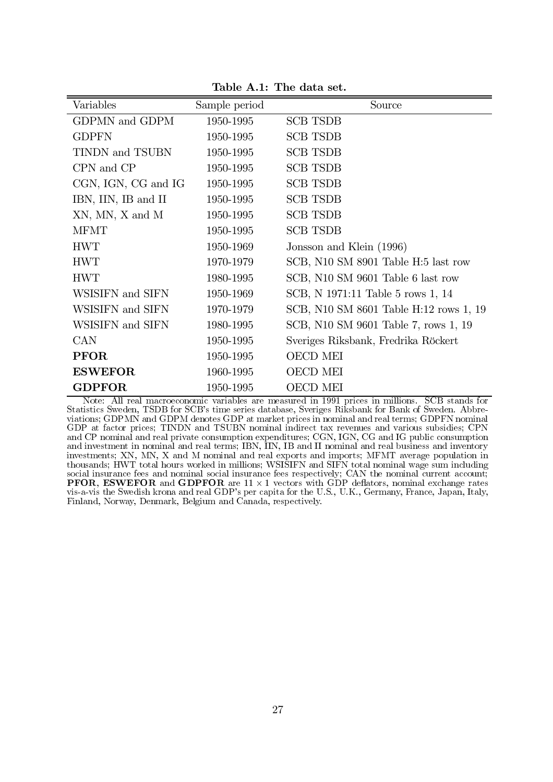|  | Table A.1: The data set. |
|--|--------------------------|
|--|--------------------------|

| Variables                    | Sample period | Source                                 |
|------------------------------|---------------|----------------------------------------|
| <b>GDPMN</b> and <b>GDPM</b> | 1950-1995     | <b>SCB TSDB</b>                        |
| <b>GDPFN</b>                 | 1950-1995     | <b>SCB TSDB</b>                        |
| TINDN and TSUBN              | 1950-1995     | <b>SCB TSDB</b>                        |
| CPN and CP                   | 1950-1995     | <b>SCB TSDB</b>                        |
| CGN, IGN, CG and IG          | 1950-1995     | <b>SCB TSDB</b>                        |
| IBN, IIN, IB and II          | 1950-1995     | <b>SCB TSDB</b>                        |
| XN, MN, X and M              | 1950-1995     | <b>SCB TSDB</b>                        |
| <b>MFMT</b>                  | 1950-1995     | <b>SCB TSDB</b>                        |
| <b>HWT</b>                   | 1950-1969     | Jonsson and Klein (1996)               |
| <b>HWT</b>                   | 1970-1979     | SCB, N10 SM 8901 Table H:5 last row    |
| <b>HWT</b>                   | 1980-1995     | SCB, N10 SM 9601 Table 6 last row      |
| WSISIFN and SIFN             | 1950-1969     | SCB, N 1971:11 Table 5 rows 1, 14      |
| WSISIFN and SIFN             | 1970-1979     | SCB, N10 SM 8601 Table H:12 rows 1, 19 |
| WSISIFN and SIFN             | 1980-1995     | SCB, N10 SM 9601 Table 7, rows 1, 19   |
| <b>CAN</b>                   | 1950-1995     | Sveriges Riksbank, Fredrika Röckert    |
| <b>PFOR</b>                  | 1950-1995     | <b>OECD MEI</b>                        |
| <b>ESWEFOR</b>               | 1960-1995     | <b>OECD MEI</b>                        |
| <b>GDPFOR</b>                | 1950-1995     | <b>OECD MEI</b>                        |

Note: All real macroeconomic variables are measured in 1991 prices in millions. SCB stands for Statistics Sweden, TSDB for SCB's time series database, Sveriges Riksbank for Bank of Sweden. Abbreviations; GDPMN and GDPM denotes GDP at market prices in nominal and real terms; GDPFN nominal GDP at factor prices; TINDN and TSUBN nominal indirect tax revenues and various subsidies; CPN<br>and CP nominal and real private consumption expenditures; CGN, IGN, CG and IG public consumption<br>and investment in nominal and investments; XN, MN, X and M nominal and real exports and imports; MFMT average population in thousands; HWT total hours worked in millions; WSISIFN and SIFN total nominal wage sum including social insurance fees and nominal social insurance fees respectively; CAN the nominal current account;<br>**PFOR, ESWEFOR** and **GDPFOR** are  $11 \times 1$  vectors with GDP deflators, nominal exchange rates vis-a-vis the Swedish krona and real GDP's per capita for the U.S., U.K., Germany, France, Japan, Italy, Finland, Norway, Denmark, Belgium and Canada, respectively.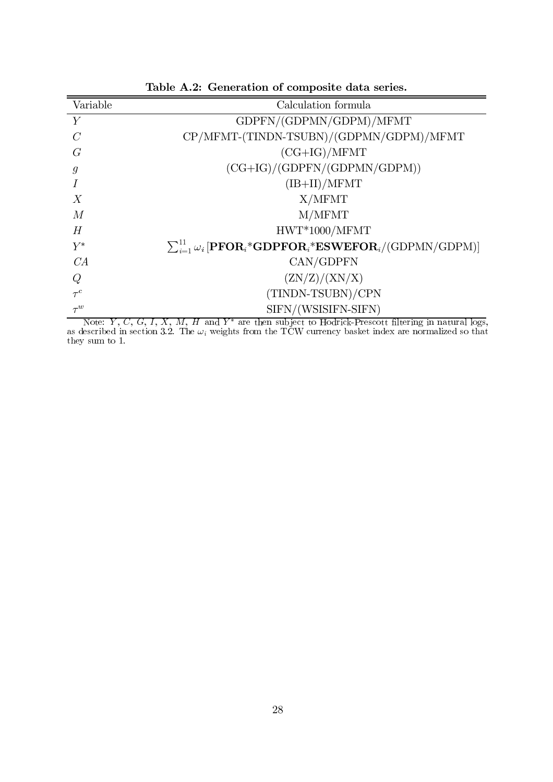| Variable         | Calculation formula                                                                                     |
|------------------|---------------------------------------------------------------------------------------------------------|
| Y                | GDPFN/(GDPMN/GDPM)/MFMT                                                                                 |
| $\overline{C}$   | CP/MFMT-(TINDN-TSUBN)/(GDPMN/GDPM)/MFMT                                                                 |
| G                | $(CG+IG)/MFMT$                                                                                          |
| g                | $(CG+IG)/(GDPFN/(GDPMN/GDPM))$                                                                          |
|                  | $(\text{IB} + \text{II}) / \text{MFMT}$                                                                 |
| $\boldsymbol{X}$ | X/MFMT                                                                                                  |
| M                | M/MFMT                                                                                                  |
| H                | $HWT*1000/MFMT$                                                                                         |
| $\,Y^*$          | $\sum_{i=1}^{11} \omega_i$ [PFOR <sub>i</sub> *GDPFOR <sub>i</sub> *ESWEFOR <sub>i</sub> /(GDPMN/GDPM)] |
| CA               | CAN/GDPFN                                                                                               |
| Q                | (ZN/Z)/(XN/X)                                                                                           |
| $\tau^c$         | (TINDN-TSUBN)/CPN                                                                                       |
| $\tau^w$         | SIFN/(WSISIFN-SIFN)                                                                                     |

Table A.2: Generation of composite data series.

Note: Y, C, G, I, X, M, H and Y\* are then subject to Hodrick-Prescott filtering in natural logs,<br>as described in section 3.2. The  $\omega_i$  weights from the TCW currency basket index are normalized so that<br>they sum to 1.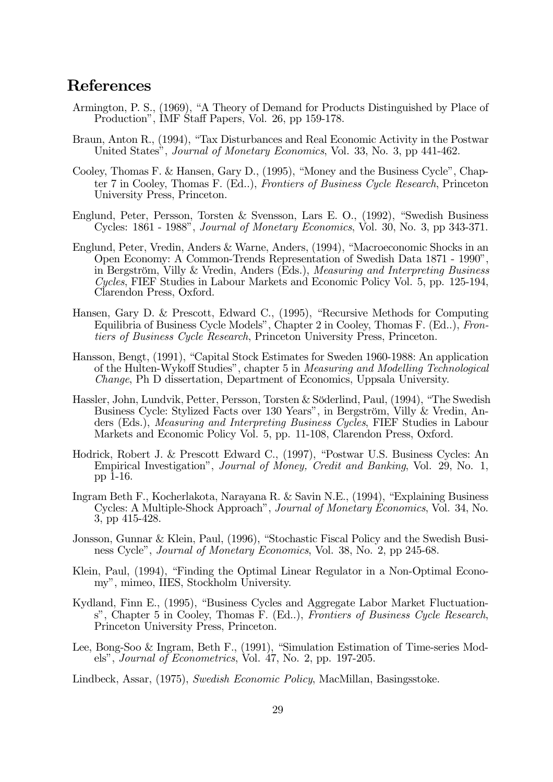# References

- Armington, P. S., (1969), "A Theory of Demand for Products Distinguished by Place of Production", IMF Staff Papers, Vol. 26, pp 159-178.
- Braun, Anton R., (1994), "Tax Disturbances and Real Economic Activity in the Postwar United States", *Journal of Monetary Economics*, Vol. 33, No. 3, pp 441-462.
- Cooley, Thomas F. & Hansen, Gary D., (1995), "Money and the Business Cycle", Chapter 7 in Cooley, Thomas F. (Ed..), *Frontiers of Business Cycle Research*, Princeton University Press, Princeton.
- Englund, Peter, Persson, Torsten & Svensson, Lars E. O.,  $(1992)$ , "Swedish Business" Cycles:  $1861$  -  $1988"$ , *Journal of Monetary Economics*, Vol. 30, No. 3, pp 343-371.
- Englund, Peter, Vredin, Anders & Warne, Anders,  $(1994)$ , "Macroeconomic Shocks in an Open Economy: A Common-Trends Representation of Swedish Data 1871 - 1990", in Bergström, Villy & Vredin, Anders (Eds.), *Measuring and Interpreting Business*  $Cycles$ , FIEF Studies in Labour Markets and Economic Policy Vol. 5, pp. 125-194, Clarendon Press, Oxford.
- Hansen, Gary D. & Prescott, Edward C., (1995), "Recursive Methods for Computing Equilibria of Business Cycle Models", Chapter 2 in Cooley, Thomas F. (Ed..), Frontiers of Business Cycle Research, Princeton University Press, Princeton.
- Hansson, Bengt, (1991), "Capital Stock Estimates for Sweden 1960-1988: An application of the Hulten-Wykoff Studies", chapter 5 in Measuring and Modelling Technological *Change*, Ph D dissertation, Department of Economics, Uppsala University.
- Hassler, John, Lundvik, Petter, Persson, Torsten & Söderlind, Paul,  $(1994)$ , "The Swedish Business Cycle: Stylized Facts over 130 Years", in Bergström, Villy & Vredin, Anders (Eds.), *Measuring and Interpreting Business Cycles*, FIEF Studies in Labour Markets and Economic Policy Vol. 5, pp. 11-108, Clarendon Press, Oxford.
- Hodrick, Robert J. & Prescott Edward C., (1997), "Postwar U.S. Business Cycles: An Empirical Investigation", Journal of Money, Credit and Banking, Vol. 29, No. 1, pp  $1-16$ .
- Ingram Beth F., Kocherlakota, Narayana R. & Savin N.E., (1994), "Explaining Business Cycles: A Multiple-Shock Approach", Journal of Monetary Economics, Vol. 34, No.  $3, pp$  415-428.
- Jonsson, Gunnar & Klein, Paul, (1996), "Stochastic Fiscal Policy and the Swedish Business Cycle", *Journal of Monetary Economics*, Vol. 38, No. 2, pp 245-68.
- Klein, Paul, (1994), "Finding the Optimal Linear Regulator in a Non-Optimal Economy", mimeo, IIES, Stockholm University.
- Kydland, Finn E., (1995), "Business Cycles and Aggregate Labor Market Fluctuations", Chapter 5 in Cooley, Thomas F. (Ed.,), Frontiers of Business Cycle Research, Princeton University Press, Princeton.
- Lee, Bong-Soo & Ingram, Beth F.,  $(1991)$ , "Simulation Estimation of Time-series Models", *Journal of Econometrics*, Vol. 47, No. 2, pp.  $197-205$ .

Lindbeck, Assar, (1975), Swedish Economic Policy, MacMillan, Basingsstoke.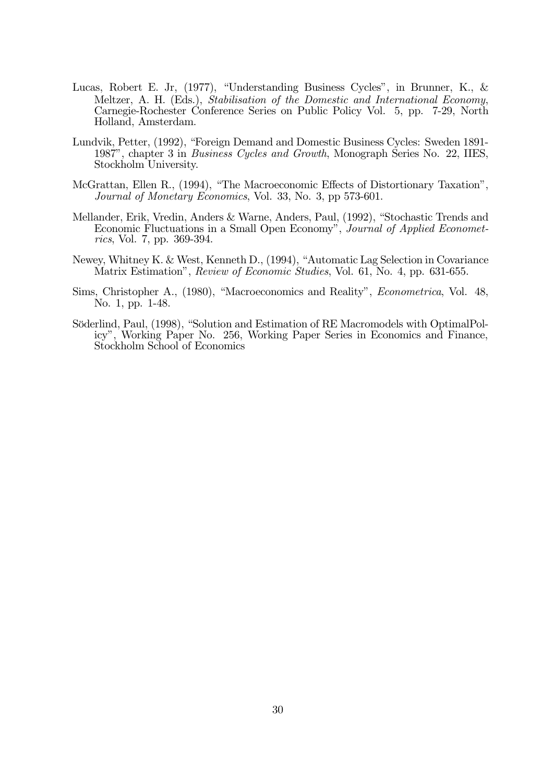- Lucas, Robert E. Jr, (1977), "Understanding Business Cycles", in Brunner, K., & Meltzer, A. H. (Eds.), Stabilisation of the Domestic and International Economy, Carnegie-Rochester Conference Series on Public Policy Vol. 5, pp. 7-29, North Holland, Amsterdam.
- Lundvik, Petter, (1992), "Foreign Demand and Domestic Business Cycles: Sweden 1891-1987", chapter 3 in Business Cycles and Growth, Monograph Series No. 22, IIES, Stockholm University.
- McGrattan, Ellen R., (1994), "The Macroeconomic Effects of Distortionary Taxation", Journal of Monetary Economics, Vol. 33, No. 3, pp 573-601.
- Mellander, Erik, Vredin, Anders & Warne, Anders, Paul, (1992), "Stochastic Trends and Economic Fluctuations in a Small Open Economy", Journal of Applied Economet*rics*, Vol. 7, pp. 369-394.
- Newey, Whitney K. & West, Kenneth D., (1994), "Automatic Lag Selection in Covariance Matrix Estimation", *Review of Economic Studies*, Vol. 61, No. 4, pp. 631-655.
- Sims, Christopher A., (1980), "Macroeconomics and Reality", *Econometrica*, Vol. 48, No. 1, pp. 1-48.
- Söderlind, Paul, (1998), "Solution and Estimation of RE Macromodels with OptimalPolicy", Working Paper No. 256, Working Paper Series in Economics and Finance, Stockholm School of Economics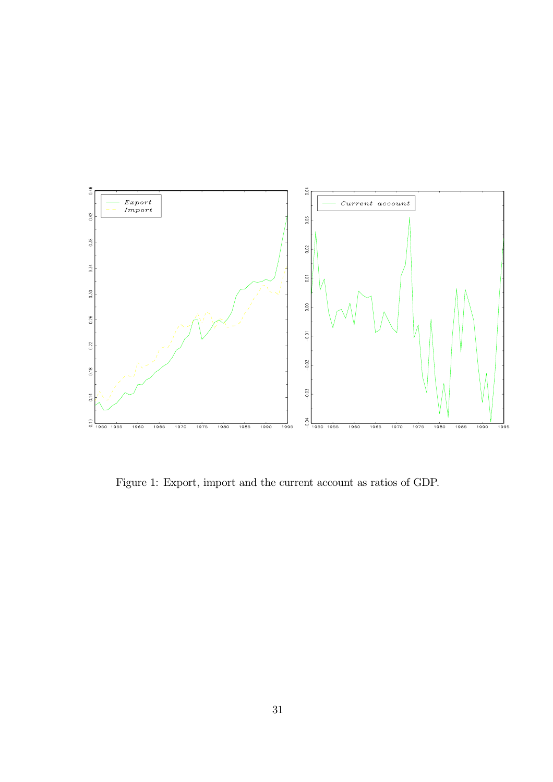

Figure 1: Export, import and the current account as ratios of GDP.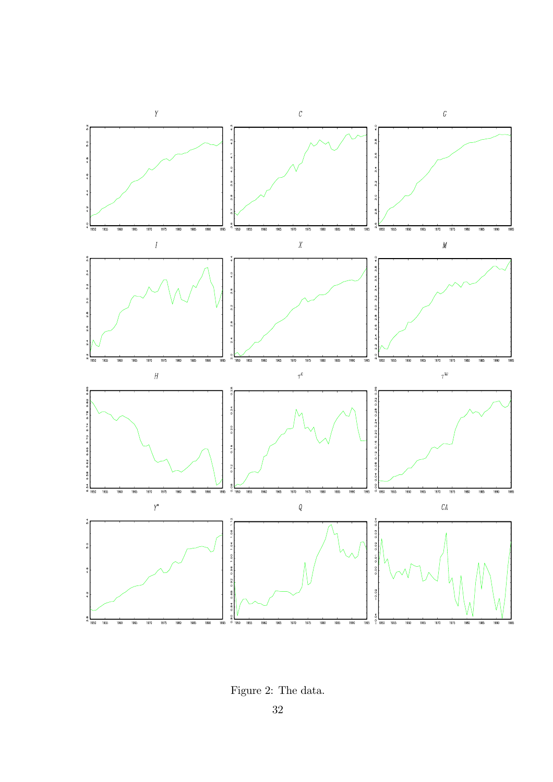

Figure 2: The data.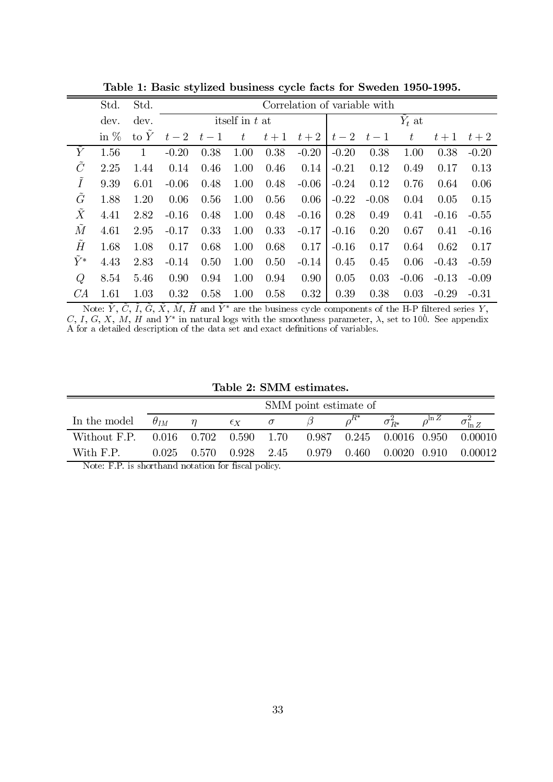|               | Std.   | Std.   |         | Correlation of variable with |                  |       |         |          |         |         |         |         |  |  |
|---------------|--------|--------|---------|------------------------------|------------------|-------|---------|----------|---------|---------|---------|---------|--|--|
|               | dev.   | dev.   |         |                              | itself in $t$ at |       |         | $Y_t$ at |         |         |         |         |  |  |
|               | in $%$ | to $Y$ | $t-2$   | $t-1$                        | $t_{\parallel}$  | $t+1$ | $t+2$   | $t-2$    | $t-1$   | $t\,$   | $t+1$   | $t+2$   |  |  |
| $\tilde{Y}$   | 1.56   | 1      | $-0.20$ | 0.38                         | 1.00             | 0.38  | $-0.20$ | $-0.20$  | 0.38    | 1.00    | 0.38    | $-0.20$ |  |  |
| $\tilde{C}$   | 2.25   | 1.44   | 0.14    | 0.46                         | 1.00             | 0.46  | 0.14    | $-0.21$  | 0.12    | 0.49    | 0.17    | 0.13    |  |  |
| $\tilde{I}$   | 9.39   | 6.01   | $-0.06$ | 0.48                         | 1.00             | 0.48  | $-0.06$ | $-0.24$  | 0.12    | 0.76    | 0.64    | 0.06    |  |  |
| $\tilde{G}$   | 1.88   | 1.20   | 0.06    | 0.56                         | 1.00             | 0.56  | 0.06    | $-0.22$  | $-0.08$ | 0.04    | 0.05    | 0.15    |  |  |
| $\tilde{X}$   | 4.41   | 2.82   | $-0.16$ | 0.48                         | 1.00             | 0.48  | $-0.16$ | 0.28     | 0.49    | 0.41    | $-0.16$ | $-0.55$ |  |  |
| $\tilde{M}$   | 4.61   | 2.95   | $-0.17$ | 0.33                         | 1.00             | 0.33  | $-0.17$ | $-0.16$  | 0.20    | 0.67    | 0.41    | $-0.16$ |  |  |
| $\tilde{H}$   | 1.68   | 1.08   | 0.17    | 0.68                         | 1.00             | 0.68  | 0.17    | $-0.16$  | 0.17    | 0.64    | 0.62    | 0.17    |  |  |
| $\tilde{Y}^*$ | 4.43   | 2.83   | $-0.14$ | 0.50                         | 1.00             | 0.50  | $-0.14$ | 0.45     | 0.45    | 0.06    | $-0.43$ | $-0.59$ |  |  |
| Q             | 8.54   | 5.46   | 0.90    | 0.94                         | 1.00             | 0.94  | 0.90    | 0.05     | 0.03    | $-0.06$ | $-0.13$ | $-0.09$ |  |  |
| CA            | 1.61   | 1.03   | 0.32    | 0.58                         | 1.00             | 0.58  | 0.32    | 0.39     | 0.38    | 0.03    | $-0.29$ | $-0.31$ |  |  |

Table 1: Basic stylized business cycle facts for Sweden 1950-1995.

Note:  $\tilde{Y}$ ,  $\tilde{C}$ ,  $\tilde{I}$ ,  $\tilde{G}$ ,  $\tilde{X}$ ,  $\tilde{M}$ ,  $\tilde{H}$  and  $\tilde{Y}^*$  are the business cycle components of the H-P filtered series  $Y$ ,  $C$ ,  $I$ ,  $G$ ,  $X$ ,  $M$ ,  $H$  and  $Y^*$  in natural logs with the s

Table 2: SMM estimates.

|              | SMM point estimate of |                         |              |      |       |           |                                                                   |                |                                            |  |  |
|--------------|-----------------------|-------------------------|--------------|------|-------|-----------|-------------------------------------------------------------------|----------------|--------------------------------------------|--|--|
| In the model | $\theta_{IM}$         |                         | $\epsilon_X$ |      |       |           | $\sigma_{\scriptscriptstyle D^*}^{\scriptscriptstyle\mathcal{L}}$ | $\int_0 \ln Z$ |                                            |  |  |
| Without F.P. |                       | $0.016$ $0.702$ $0.590$ |              | 1.70 |       |           |                                                                   |                | $0.987$ $0.245$ $0.0016$ $0.950$ $0.00010$ |  |  |
| With F.P.    | 0.025                 | 0.570                   | 0.928        | 2.45 | 0.979 | $0.460\,$ | $0.0020$ $0.910$                                                  |                | 0.00012                                    |  |  |

Note: F.P. is shorthand notation for fiscal policy.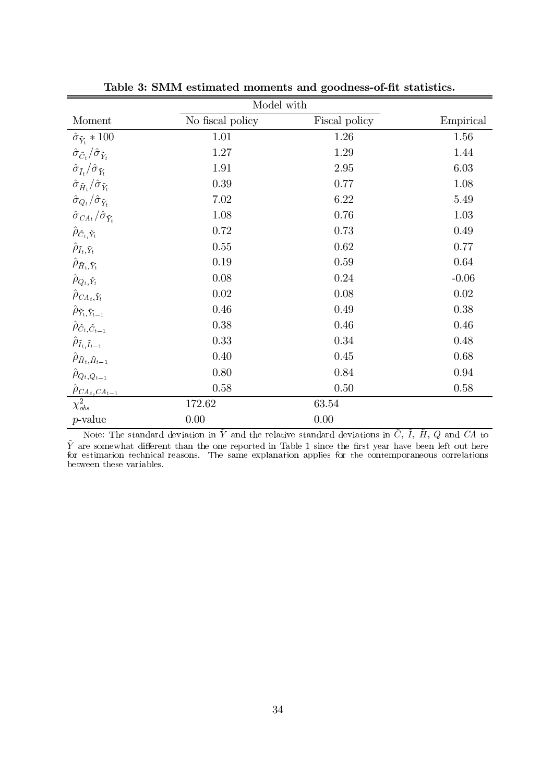|                                                                                           | Model with                                                                                                                                                                                                              |               |           |  |  |  |  |  |  |  |  |
|-------------------------------------------------------------------------------------------|-------------------------------------------------------------------------------------------------------------------------------------------------------------------------------------------------------------------------|---------------|-----------|--|--|--|--|--|--|--|--|
| Moment                                                                                    | No fiscal policy                                                                                                                                                                                                        | Fiscal policy | Empirical |  |  |  |  |  |  |  |  |
| $\hat{\sigma}_{\tilde{Y}_t}*100$                                                          | 1.01                                                                                                                                                                                                                    | 1.26          | 1.56      |  |  |  |  |  |  |  |  |
| $\langle \hat{\sigma}_{\tilde{C}^{\hspace{0.2mm}t}} / \hat{\sigma}_{\tilde{Y}_t} \rangle$ | 1.27                                                                                                                                                                                                                    | 1.29          | 1.44      |  |  |  |  |  |  |  |  |
| $\hat{\sigma}_{\tilde{I}_{t}} / \hat{\sigma}_{\tilde{Y}_{t}}$                             | 1.91                                                                                                                                                                                                                    | 2.95          | 6.03      |  |  |  |  |  |  |  |  |
| $\hat{\sigma}_{\tilde{H}_{t}} / \hat{\sigma}_{\tilde{Y}_{t}}$                             | 0.39                                                                                                                                                                                                                    | 0.77          | 1.08      |  |  |  |  |  |  |  |  |
| $\hat{\sigma}_{Q_t}/\hat{\sigma}_{\tilde{Y}_t}$                                           | 7.02                                                                                                                                                                                                                    | 6.22          | 5.49      |  |  |  |  |  |  |  |  |
| $\hat{\sigma}_{CA_{t}}/\hat{\sigma}_{\tilde{Y}_{t}}$                                      | 1.08                                                                                                                                                                                                                    | 0.76          | 1.03      |  |  |  |  |  |  |  |  |
| $\hat{\rho}_{\tilde{C}_t,\tilde{Y}_t}$                                                    | 0.72                                                                                                                                                                                                                    | 0.73          | 0.49      |  |  |  |  |  |  |  |  |
| $\hat{\rho}_{\tilde{I}_t,\tilde{Y}_t}$                                                    | 0.55                                                                                                                                                                                                                    | 0.62          | 0.77      |  |  |  |  |  |  |  |  |
| $\hat{\rho}_{\tilde{H}_t,\tilde{Y}_t}$                                                    | 0.19                                                                                                                                                                                                                    | 0.59          | 0.64      |  |  |  |  |  |  |  |  |
| $\hat{\rho}_{Q_t,\tilde{Y}_t}$                                                            | 0.08                                                                                                                                                                                                                    | 0.24          | $-0.06$   |  |  |  |  |  |  |  |  |
| $\hat{\rho}_{CA_t,\tilde{Y}_t}$                                                           | 0.02                                                                                                                                                                                                                    | 0.08          | 0.02      |  |  |  |  |  |  |  |  |
| $\hat{\rho}_{\tilde{Y}_t, \tilde{Y}_{t-1}}$                                               | 0.46                                                                                                                                                                                                                    | 0.49          | 0.38      |  |  |  |  |  |  |  |  |
| $\hat{\rho}_{\tilde{C}_t, \tilde{C}_{t-1}}$                                               | 0.38                                                                                                                                                                                                                    | 0.46          | 0.46      |  |  |  |  |  |  |  |  |
| $\hat{\rho}_{\tilde{I}_t,\tilde{I}_{t-1}}$                                                | 0.33                                                                                                                                                                                                                    | 0.34          | 0.48      |  |  |  |  |  |  |  |  |
| $\hat{\rho}_{\tilde{H}_t,\tilde{H}_{t-1}}$                                                | 0.40                                                                                                                                                                                                                    | 0.45          | 0.68      |  |  |  |  |  |  |  |  |
| $\hat{\rho}_{Q_t,Q_{t-1}}$                                                                | 0.80                                                                                                                                                                                                                    | 0.84          | 0.94      |  |  |  |  |  |  |  |  |
|                                                                                           | 0.58                                                                                                                                                                                                                    | 0.50          | 0.58      |  |  |  |  |  |  |  |  |
| $\frac{\hat{\rho}_{CA_{t},CA_{t-1}}}{\chi^2_{obs}}$                                       | 172.62                                                                                                                                                                                                                  | 63.54         |           |  |  |  |  |  |  |  |  |
| $p$ -value                                                                                | 0.00                                                                                                                                                                                                                    | 0.00          |           |  |  |  |  |  |  |  |  |
|                                                                                           | Note: The standard deviation in $\tilde{Y}$ and the relative standard deviations in $\tilde{C}$ , $\tilde{I}$ , $\tilde{H}$ , $Q$ and $CA$ to                                                                           |               |           |  |  |  |  |  |  |  |  |
|                                                                                           | $\tilde{Y}$ are somewhat different than the one reported in Table 1 since the first year have been left out here<br>for estimation technical reasons. The same explanation applies for the contemporaneous correlations |               |           |  |  |  |  |  |  |  |  |

Table 3: SMM estimated moments and goodness-of-fit statistics.

between these variables.